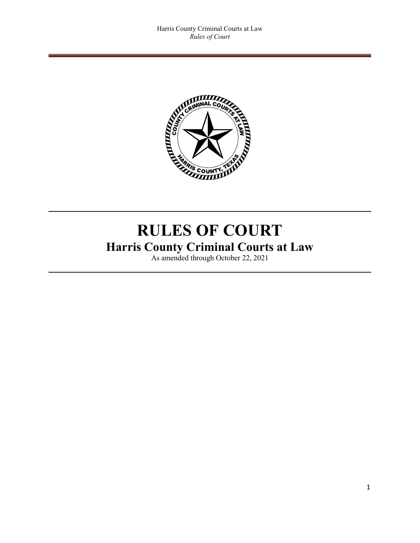

# **RULES OF COURT Harris County Criminal Courts at Law**

As amended through October 22, 2021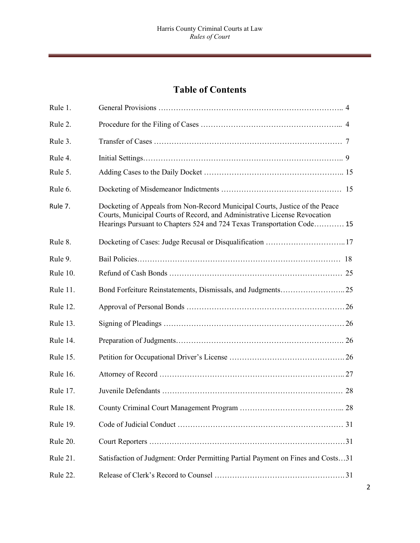# **Table of Contents**

| Rule 1.         |                                                                                                                                                                                                                                    |
|-----------------|------------------------------------------------------------------------------------------------------------------------------------------------------------------------------------------------------------------------------------|
| Rule 2.         |                                                                                                                                                                                                                                    |
| Rule 3.         |                                                                                                                                                                                                                                    |
| Rule 4.         |                                                                                                                                                                                                                                    |
| Rule 5.         |                                                                                                                                                                                                                                    |
| Rule 6.         |                                                                                                                                                                                                                                    |
| Rule 7.         | Docketing of Appeals from Non-Record Municipal Courts, Justice of the Peace<br>Courts, Municipal Courts of Record, and Administrative License Revocation<br>Hearings Pursuant to Chapters 524 and 724 Texas Transportation Code 15 |
| Rule 8.         |                                                                                                                                                                                                                                    |
| Rule 9.         |                                                                                                                                                                                                                                    |
| Rule 10.        |                                                                                                                                                                                                                                    |
| Rule 11.        |                                                                                                                                                                                                                                    |
| Rule 12.        |                                                                                                                                                                                                                                    |
| Rule 13.        |                                                                                                                                                                                                                                    |
| Rule 14.        |                                                                                                                                                                                                                                    |
| Rule 15.        |                                                                                                                                                                                                                                    |
| <b>Rule 16.</b> |                                                                                                                                                                                                                                    |
| Rule 17.        |                                                                                                                                                                                                                                    |
| Rule 18.        |                                                                                                                                                                                                                                    |
| Rule 19.        |                                                                                                                                                                                                                                    |
| Rule 20.        |                                                                                                                                                                                                                                    |
| Rule 21.        | Satisfaction of Judgment: Order Permitting Partial Payment on Fines and Costs31                                                                                                                                                    |
| Rule 22.        |                                                                                                                                                                                                                                    |
|                 |                                                                                                                                                                                                                                    |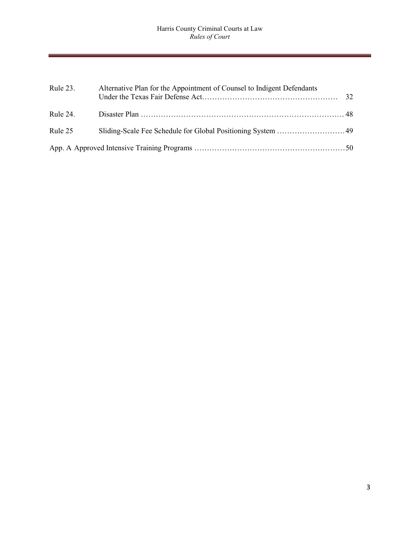| Rule 23. | Alternative Plan for the Appointment of Counsel to Indigent Defendants | 32. |
|----------|------------------------------------------------------------------------|-----|
| Rule 24. |                                                                        |     |
| Rule 25  |                                                                        |     |
|          |                                                                        |     |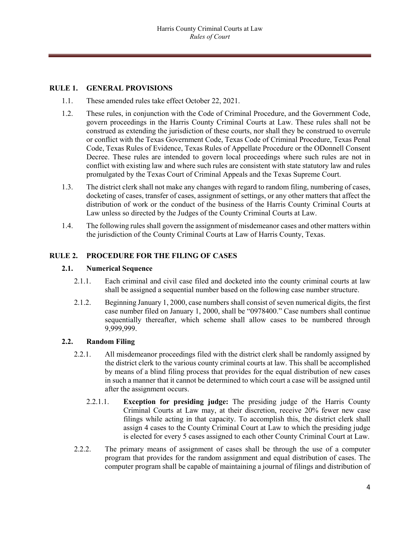# **RULE 1. GENERAL PROVISIONS**

- 1.1. These amended rules take effect October 22, 2021.
- 1.2. These rules, in conjunction with the Code of Criminal Procedure, and the Government Code, govern proceedings in the Harris County Criminal Courts at Law. These rules shall not be construed as extending the jurisdiction of these courts, nor shall they be construed to overrule or conflict with the Texas Government Code, Texas Code of Criminal Procedure, Texas Penal Code, Texas Rules of Evidence, Texas Rules of Appellate Procedure or the ODonnell Consent Decree. These rules are intended to govern local proceedings where such rules are not in conflict with existing law and where such rules are consistent with state statutory law and rules promulgated by the Texas Court of Criminal Appeals and the Texas Supreme Court.
- 1.3. The district clerk shall not make any changes with regard to random filing, numbering of cases, docketing of cases, transfer of cases, assignment of settings, or any other matters that affect the distribution of work or the conduct of the business of the Harris County Criminal Courts at Law unless so directed by the Judges of the County Criminal Courts at Law.
- 1.4. The following rules shall govern the assignment of misdemeanor cases and other matters within the jurisdiction of the County Criminal Courts at Law of Harris County, Texas.

#### **RULE 2. PROCEDURE FOR THE FILING OF CASES**

#### **2.1. Numerical Sequence**

- 2.1.1. Each criminal and civil case filed and docketed into the county criminal courts at law shall be assigned a sequential number based on the following case number structure.
- 2.1.2. Beginning January 1, 2000, case numbers shall consist of seven numerical digits, the first case number filed on January 1, 2000, shall be "0978400." Case numbers shall continue sequentially thereafter, which scheme shall allow cases to be numbered through 9,999,999.

#### **2.2. Random Filing**

- 2.2.1. All misdemeanor proceedings filed with the district clerk shall be randomly assigned by the district clerk to the various county criminal courts at law. This shall be accomplished by means of a blind filing process that provides for the equal distribution of new cases in such a manner that it cannot be determined to which court a case will be assigned until after the assignment occurs.
	- 2.2.1.1. **Exception for presiding judge:** The presiding judge of the Harris County Criminal Courts at Law may, at their discretion, receive 20% fewer new case filings while acting in that capacity. To accomplish this, the district clerk shall assign 4 cases to the County Criminal Court at Law to which the presiding judge is elected for every 5 cases assigned to each other County Criminal Court at Law.
- 2.2.2. The primary means of assignment of cases shall be through the use of a computer program that provides for the random assignment and equal distribution of cases. The computer program shall be capable of maintaining a journal of filings and distribution of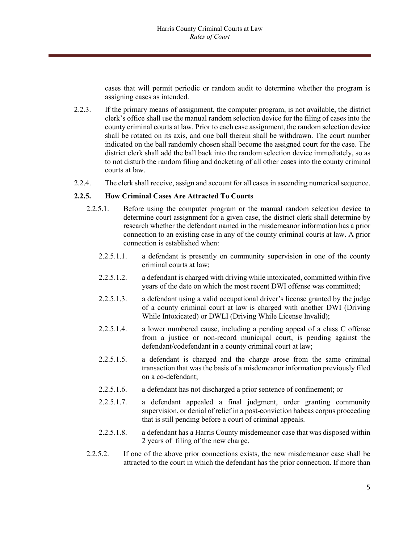cases that will permit periodic or random audit to determine whether the program is assigning cases as intended.

- 2.2.3. If the primary means of assignment, the computer program, is not available, the district clerk's office shall use the manual random selection device for the filing of cases into the county criminal courts at law. Prior to each case assignment, the random selection device shall be rotated on its axis, and one ball therein shall be withdrawn. The court number indicated on the ball randomly chosen shall become the assigned court for the case. The district clerk shall add the ball back into the random selection device immediately, so as to not disturb the random filing and docketing of all other cases into the county criminal courts at law.
- 2.2.4. The clerk shall receive, assign and account for all cases in ascending numerical sequence.

#### **2.2.5. How Criminal Cases Are Attracted To Courts**

- 2.2.5.1. Before using the computer program or the manual random selection device to determine court assignment for a given case, the district clerk shall determine by research whether the defendant named in the misdemeanor information has a prior connection to an existing case in any of the county criminal courts at law. A prior connection is established when:
	- 2.2.5.1.1. a defendant is presently on community supervision in one of the county criminal courts at law;
	- 2.2.5.1.2. a defendant is charged with driving while intoxicated, committed within five years of the date on which the most recent DWI offense was committed;
	- 2.2.5.1.3. a defendant using a valid occupational driver's license granted by the judge of a county criminal court at law is charged with another DWI (Driving While Intoxicated) or DWLI (Driving While License Invalid);
	- 2.2.5.1.4. a lower numbered cause, including a pending appeal of a class C offense from a justice or non-record municipal court, is pending against the defendant/codefendant in a county criminal court at law;
	- 2.2.5.1.5. a defendant is charged and the charge arose from the same criminal transaction that was the basis of a misdemeanor information previously filed on a co-defendant;
	- 2.2.5.1.6. a defendant has not discharged a prior sentence of confinement; or
	- 2.2.5.1.7. a defendant appealed a final judgment, order granting community supervision, or denial of relief in a post-conviction habeas corpus proceeding that is still pending before a court of criminal appeals.
	- 2.2.5.1.8. a defendant has a Harris County misdemeanor case that was disposed within 2 years of filing of the new charge.
- 2.2.5.2. If one of the above prior connections exists, the new misdemeanor case shall be attracted to the court in which the defendant has the prior connection. If more than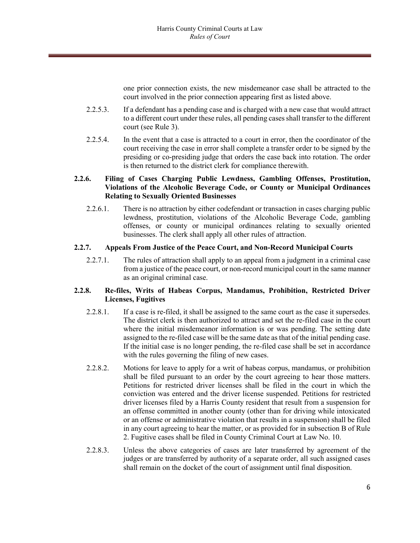one prior connection exists, the new misdemeanor case shall be attracted to the court involved in the prior connection appearing first as listed above.

- 2.2.5.3. If a defendant has a pending case and is charged with a new case that would attract to a different court under these rules, all pending cases shall transfer to the different court (see Rule 3).
- 2.2.5.4. In the event that a case is attracted to a court in error, then the coordinator of the court receiving the case in error shall complete a transfer order to be signed by the presiding or co-presiding judge that orders the case back into rotation. The order is then returned to the district clerk for compliance therewith.

# **2.2.6. Filing of Cases Charging Public Lewdness, Gambling Offenses, Prostitution, Violations of the Alcoholic Beverage Code, or County or Municipal Ordinances Relating to Sexually Oriented Businesses**

2.2.6.1. There is no attraction by either codefendant or transaction in cases charging public lewdness, prostitution, violations of the Alcoholic Beverage Code, gambling offenses, or county or municipal ordinances relating to sexually oriented businesses. The clerk shall apply all other rules of attraction.

# **2.2.7. Appeals From Justice of the Peace Court, and Non-Record Municipal Courts**

2.2.7.1. The rules of attraction shall apply to an appeal from a judgment in a criminal case from a justice of the peace court, or non-record municipal court in the same manner as an original criminal case.

# **2.2.8. Re-files, Writs of Habeas Corpus, Mandamus, Prohibition, Restricted Driver Licenses, Fugitives**

- 2.2.8.1. If a case is re-filed, it shall be assigned to the same court as the case it supersedes. The district clerk is then authorized to attract and set the re-filed case in the court where the initial misdemeanor information is or was pending. The setting date assigned to the re-filed case will be the same date as that of the initial pending case. If the initial case is no longer pending, the re-filed case shall be set in accordance with the rules governing the filing of new cases.
- 2.2.8.2. Motions for leave to apply for a writ of habeas corpus, mandamus, or prohibition shall be filed pursuant to an order by the court agreeing to hear those matters. Petitions for restricted driver licenses shall be filed in the court in which the conviction was entered and the driver license suspended. Petitions for restricted driver licenses filed by a Harris County resident that result from a suspension for an offense committed in another county (other than for driving while intoxicated or an offense or administrative violation that results in a suspension) shall be filed in any court agreeing to hear the matter, or as provided for in subsection B of Rule 2. Fugitive cases shall be filed in County Criminal Court at Law No. 10.
- 2.2.8.3. Unless the above categories of cases are later transferred by agreement of the judges or are transferred by authority of a separate order, all such assigned cases shall remain on the docket of the court of assignment until final disposition.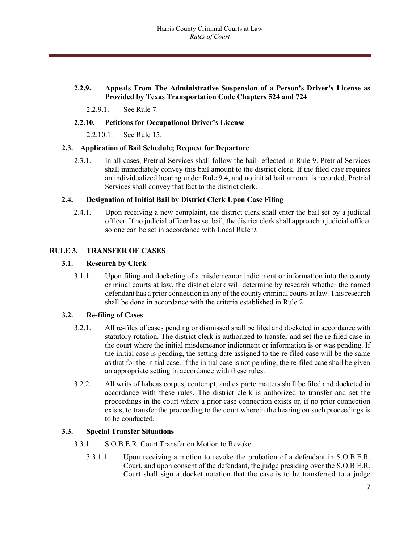# **2.2.9. Appeals From The Administrative Suspension of a Person's Driver's License as Provided by Texas Transportation Code Chapters 524 and 724**

2.2.9.1. See Rule 7.

#### **2.2.10. Petitions for Occupational Driver's License**

2.2.10.1. See Rule 15.

#### **2.3. Application of Bail Schedule; Request for Departure**

2.3.1. In all cases, Pretrial Services shall follow the bail reflected in Rule 9. Pretrial Services shall immediately convey this bail amount to the district clerk. If the filed case requires an individualized hearing under Rule 9.4, and no initial bail amount is recorded, Pretrial Services shall convey that fact to the district clerk.

# **2.4. Designation of Initial Bail by District Clerk Upon Case Filing**

2.4.1. Upon receiving a new complaint, the district clerk shall enter the bail set by a judicial officer. If no judicial officer has set bail, the district clerk shall approach a judicial officer so one can be set in accordance with Local Rule 9.

# **RULE 3. TRANSFER OF CASES**

# **3.1. Research by Clerk**

3.1.1. Upon filing and docketing of a misdemeanor indictment or information into the county criminal courts at law, the district clerk will determine by research whether the named defendant has a prior connection in any of the county criminal courts at law. This research shall be done in accordance with the criteria established in Rule 2.

#### **3.2. Re-filing of Cases**

- 3.2.1. All re-files of cases pending or dismissed shall be filed and docketed in accordance with statutory rotation. The district clerk is authorized to transfer and set the re-filed case in the court where the initial misdemeanor indictment or information is or was pending. If the initial case is pending, the setting date assigned to the re-filed case will be the same as that for the initial case. If the initial case is not pending, the re-filed case shall be given an appropriate setting in accordance with these rules.
- 3.2.2. All writs of habeas corpus, contempt, and ex parte matters shall be filed and docketed in accordance with these rules. The district clerk is authorized to transfer and set the proceedings in the court where a prior case connection exists or, if no prior connection exists, to transfer the proceeding to the court wherein the hearing on such proceedings is to be conducted.

#### **3.3. Special Transfer Situations**

- 3.3.1. S.O.B.E.R. Court Transfer on Motion to Revoke
	- 3.3.1.1. Upon receiving a motion to revoke the probation of a defendant in S.O.B.E.R. Court, and upon consent of the defendant, the judge presiding over the S.O.B.E.R. Court shall sign a docket notation that the case is to be transferred to a judge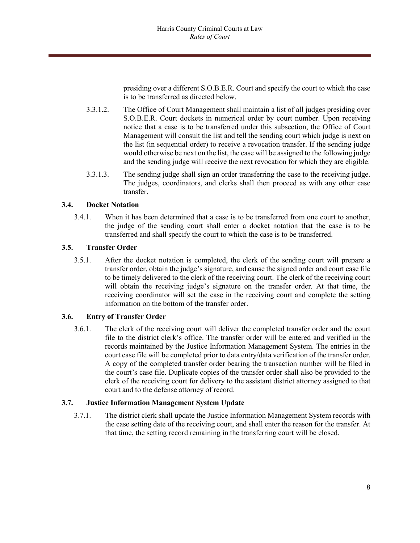presiding over a different S.O.B.E.R. Court and specify the court to which the case is to be transferred as directed below.

- 3.3.1.2. The Office of Court Management shall maintain a list of all judges presiding over S.O.B.E.R. Court dockets in numerical order by court number. Upon receiving notice that a case is to be transferred under this subsection, the Office of Court Management will consult the list and tell the sending court which judge is next on the list (in sequential order) to receive a revocation transfer. If the sending judge would otherwise be next on the list, the case will be assigned to the following judge and the sending judge will receive the next revocation for which they are eligible.
- 3.3.1.3. The sending judge shall sign an order transferring the case to the receiving judge. The judges, coordinators, and clerks shall then proceed as with any other case transfer.

# **3.4. Docket Notation**

3.4.1. When it has been determined that a case is to be transferred from one court to another, the judge of the sending court shall enter a docket notation that the case is to be transferred and shall specify the court to which the case is to be transferred.

# **3.5. Transfer Order**

3.5.1. After the docket notation is completed, the clerk of the sending court will prepare a transfer order, obtain the judge's signature, and cause the signed order and court case file to be timely delivered to the clerk of the receiving court. The clerk of the receiving court will obtain the receiving judge's signature on the transfer order. At that time, the receiving coordinator will set the case in the receiving court and complete the setting information on the bottom of the transfer order.

#### **3.6. Entry of Transfer Order**

3.6.1. The clerk of the receiving court will deliver the completed transfer order and the court file to the district clerk's office. The transfer order will be entered and verified in the records maintained by the Justice Information Management System. The entries in the court case file will be completed prior to data entry/data verification of the transfer order. A copy of the completed transfer order bearing the transaction number will be filed in the court's case file. Duplicate copies of the transfer order shall also be provided to the clerk of the receiving court for delivery to the assistant district attorney assigned to that court and to the defense attorney of record.

# **3.7. Justice Information Management System Update**

3.7.1. The district clerk shall update the Justice Information Management System records with the case setting date of the receiving court, and shall enter the reason for the transfer. At that time, the setting record remaining in the transferring court will be closed.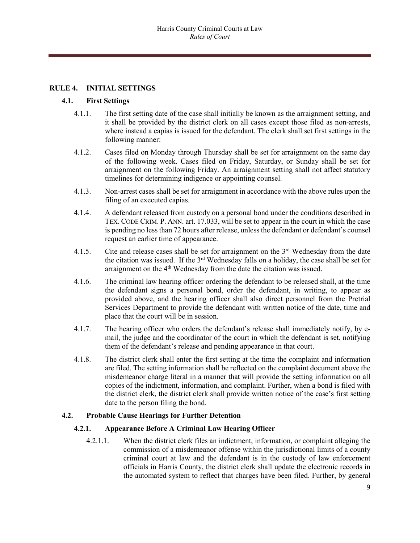# **RULE 4. INITIAL SETTINGS**

#### **4.1. First Settings**

- 4.1.1. The first setting date of the case shall initially be known as the arraignment setting, and it shall be provided by the district clerk on all cases except those filed as non-arrests, where instead a capias is issued for the defendant. The clerk shall set first settings in the following manner:
- 4.1.2. Cases filed on Monday through Thursday shall be set for arraignment on the same day of the following week. Cases filed on Friday, Saturday, or Sunday shall be set for arraignment on the following Friday. An arraignment setting shall not affect statutory timelines for determining indigence or appointing counsel.
- 4.1.3. Non-arrest cases shall be set for arraignment in accordance with the above rules upon the filing of an executed capias.
- 4.1.4. A defendant released from custody on a personal bond under the conditions described in TEX. CODE CRIM. P. ANN. art. 17.033, will be set to appear in the court in which the case is pending no less than 72 hours after release, unless the defendant or defendant's counsel request an earlier time of appearance.
- 4.1.5. Cite and release cases shall be set for arraignment on the  $3<sup>rd</sup>$  Wednesday from the date the citation was issued. If the  $3<sup>rd</sup>$  Wednesday falls on a holiday, the case shall be set for arraignment on the 4<sup>th</sup> Wednesday from the date the citation was issued.
- 4.1.6. The criminal law hearing officer ordering the defendant to be released shall, at the time the defendant signs a personal bond, order the defendant, in writing, to appear as provided above, and the hearing officer shall also direct personnel from the Pretrial Services Department to provide the defendant with written notice of the date, time and place that the court will be in session.
- 4.1.7. The hearing officer who orders the defendant's release shall immediately notify, by email, the judge and the coordinator of the court in which the defendant is set, notifying them of the defendant's release and pending appearance in that court.
- 4.1.8. The district clerk shall enter the first setting at the time the complaint and information are filed. The setting information shall be reflected on the complaint document above the misdemeanor charge literal in a manner that will provide the setting information on all copies of the indictment, information, and complaint. Further, when a bond is filed with the district clerk, the district clerk shall provide written notice of the case's first setting date to the person filing the bond.

#### **4.2. Probable Cause Hearings for Further Detention**

#### **4.2.1. Appearance Before A Criminal Law Hearing Officer**

4.2.1.1. When the district clerk files an indictment, information, or complaint alleging the commission of a misdemeanor offense within the jurisdictional limits of a county criminal court at law and the defendant is in the custody of law enforcement officials in Harris County, the district clerk shall update the electronic records in the automated system to reflect that charges have been filed. Further, by general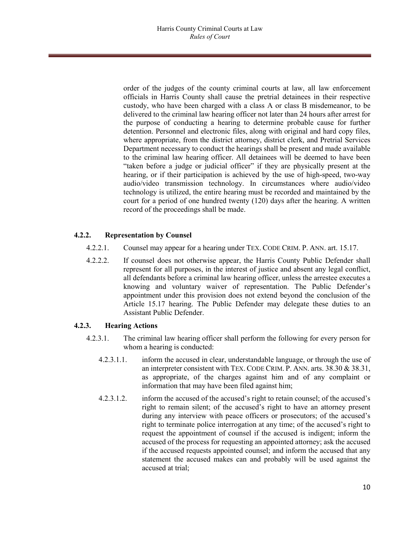order of the judges of the county criminal courts at law, all law enforcement officials in Harris County shall cause the pretrial detainees in their respective custody, who have been charged with a class A or class B misdemeanor, to be delivered to the criminal law hearing officer not later than 24 hours after arrest for the purpose of conducting a hearing to determine probable cause for further detention. Personnel and electronic files, along with original and hard copy files, where appropriate, from the district attorney, district clerk, and Pretrial Services Department necessary to conduct the hearings shall be present and made available to the criminal law hearing officer. All detainees will be deemed to have been "taken before a judge or judicial officer" if they are physically present at the hearing, or if their participation is achieved by the use of high-speed, two-way audio/video transmission technology. In circumstances where audio/video technology is utilized, the entire hearing must be recorded and maintained by the court for a period of one hundred twenty (120) days after the hearing. A written record of the proceedings shall be made.

# **4.2.2. Representation by Counsel**

- 4.2.2.1. Counsel may appear for a hearing under TEX. CODE CRIM. P. ANN. art. 15.17.
- 4.2.2.2. If counsel does not otherwise appear, the Harris County Public Defender shall represent for all purposes, in the interest of justice and absent any legal conflict, all defendants before a criminal law hearing officer, unless the arrestee executes a knowing and voluntary waiver of representation. The Public Defender's appointment under this provision does not extend beyond the conclusion of the Article 15.17 hearing. The Public Defender may delegate these duties to an Assistant Public Defender.

#### **4.2.3. Hearing Actions**

- 4.2.3.1. The criminal law hearing officer shall perform the following for every person for whom a hearing is conducted:
	- 4.2.3.1.1. inform the accused in clear, understandable language, or through the use of an interpreter consistent with TEX. CODE CRIM. P. ANN. arts. 38.30 & 38.31, as appropriate, of the charges against him and of any complaint or information that may have been filed against him;
	- 4.2.3.1.2. inform the accused of the accused's right to retain counsel; of the accused's right to remain silent; of the accused's right to have an attorney present during any interview with peace officers or prosecutors; of the accused's right to terminate police interrogation at any time; of the accused's right to request the appointment of counsel if the accused is indigent; inform the accused of the process for requesting an appointed attorney; ask the accused if the accused requests appointed counsel; and inform the accused that any statement the accused makes can and probably will be used against the accused at trial;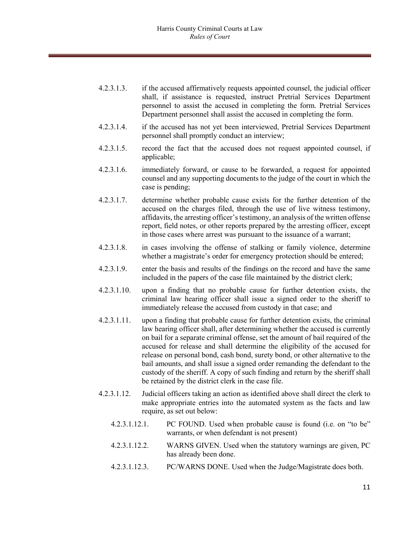- 4.2.3.1.3. if the accused affirmatively requests appointed counsel, the judicial officer shall, if assistance is requested, instruct Pretrial Services Department personnel to assist the accused in completing the form. Pretrial Services Department personnel shall assist the accused in completing the form.
- 4.2.3.1.4. if the accused has not yet been interviewed, Pretrial Services Department personnel shall promptly conduct an interview;
- 4.2.3.1.5. record the fact that the accused does not request appointed counsel, if applicable;
- 4.2.3.1.6. immediately forward, or cause to be forwarded, a request for appointed counsel and any supporting documents to the judge of the court in which the case is pending;
- 4.2.3.1.7. determine whether probable cause exists for the further detention of the accused on the charges filed, through the use of live witness testimony, affidavits, the arresting officer's testimony, an analysis of the written offense report, field notes, or other reports prepared by the arresting officer, except in those cases where arrest was pursuant to the issuance of a warrant;
- 4.2.3.1.8. in cases involving the offense of stalking or family violence, determine whether a magistrate's order for emergency protection should be entered;
- 4.2.3.1.9. enter the basis and results of the findings on the record and have the same included in the papers of the case file maintained by the district clerk;
- 4.2.3.1.10. upon a finding that no probable cause for further detention exists, the criminal law hearing officer shall issue a signed order to the sheriff to immediately release the accused from custody in that case; and
- 4.2.3.1.11. upon a finding that probable cause for further detention exists, the criminal law hearing officer shall, after determining whether the accused is currently on bail for a separate criminal offense, set the amount of bail required of the accused for release and shall determine the eligibility of the accused for release on personal bond, cash bond, surety bond, or other alternative to the bail amounts, and shall issue a signed order remanding the defendant to the custody of the sheriff. A copy of such finding and return by the sheriff shall be retained by the district clerk in the case file.
- 4.2.3.1.12. Judicial officers taking an action as identified above shall direct the clerk to make appropriate entries into the automated system as the facts and law require, as set out below:
	- 4.2.3.1.12.1. PC FOUND. Used when probable cause is found (i.e. on "to be" warrants, or when defendant is not present)
	- 4.2.3.1.12.2. WARNS GIVEN. Used when the statutory warnings are given, PC has already been done.
	- 4.2.3.1.12.3. PC/WARNS DONE. Used when the Judge/Magistrate does both.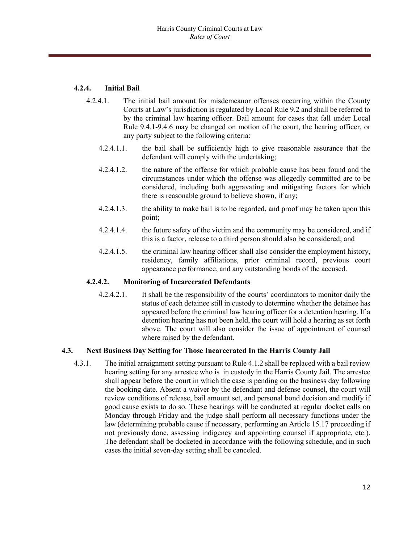# **4.2.4. Initial Bail**

- 4.2.4.1. The initial bail amount for misdemeanor offenses occurring within the County Courts at Law's jurisdiction is regulated by Local Rule 9.2 and shall be referred to by the criminal law hearing officer. Bail amount for cases that fall under Local Rule 9.4.1-9.4.6 may be changed on motion of the court, the hearing officer, or any party subject to the following criteria:
	- 4.2.4.1.1. the bail shall be sufficiently high to give reasonable assurance that the defendant will comply with the undertaking;
	- 4.2.4.1.2. the nature of the offense for which probable cause has been found and the circumstances under which the offense was allegedly committed are to be considered, including both aggravating and mitigating factors for which there is reasonable ground to believe shown, if any;
	- 4.2.4.1.3. the ability to make bail is to be regarded, and proof may be taken upon this point;
	- 4.2.4.1.4. the future safety of the victim and the community may be considered, and if this is a factor, release to a third person should also be considered; and
	- 4.2.4.1.5. the criminal law hearing officer shall also consider the employment history, residency, family affiliations, prior criminal record, previous court appearance performance, and any outstanding bonds of the accused.

#### **4.2.4.2. Monitoring of Incarcerated Defendants**

4.2.4.2.1. It shall be the responsibility of the courts' coordinators to monitor daily the status of each detainee still in custody to determine whether the detainee has appeared before the criminal law hearing officer for a detention hearing. If a detention hearing has not been held, the court will hold a hearing as set forth above. The court will also consider the issue of appointment of counsel where raised by the defendant.

# **4.3. Next Business Day Setting for Those Incarcerated In the Harris County Jail**

4.3.1. The initial arraignment setting pursuant to Rule 4.1.2 shall be replaced with a bail review hearing setting for any arrestee who is in custody in the Harris County Jail. The arrestee shall appear before the court in which the case is pending on the business day following the booking date. Absent a waiver by the defendant and defense counsel, the court will review conditions of release, bail amount set, and personal bond decision and modify if good cause exists to do so. These hearings will be conducted at regular docket calls on Monday through Friday and the judge shall perform all necessary functions under the law (determining probable cause if necessary, performing an Article 15.17 proceeding if not previously done, assessing indigency and appointing counsel if appropriate, etc.). The defendant shall be docketed in accordance with the following schedule, and in such cases the initial seven-day setting shall be canceled.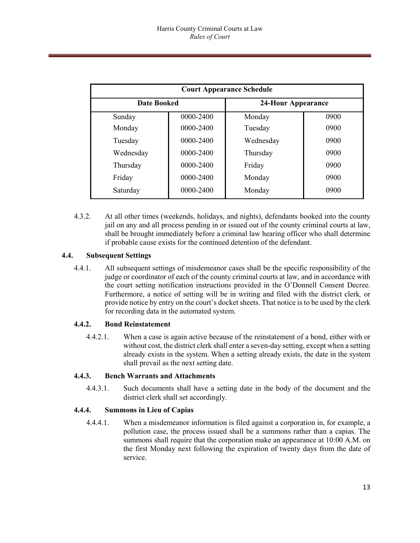| <b>Court Appearance Schedule</b> |           |                           |      |  |  |  |
|----------------------------------|-----------|---------------------------|------|--|--|--|
| <b>Date Booked</b>               |           | <b>24-Hour Appearance</b> |      |  |  |  |
| Sunday                           | 0000-2400 | Monday                    | 0900 |  |  |  |
| Monday                           | 0000-2400 | Tuesday                   | 0900 |  |  |  |
| Tuesday                          | 0000-2400 | Wednesday                 | 0900 |  |  |  |
| Wednesday                        | 0000-2400 | Thursday                  | 0900 |  |  |  |
| Thursday                         | 0000-2400 | Friday                    | 0900 |  |  |  |
| Friday                           | 0000-2400 | Monday                    | 0900 |  |  |  |
| Saturday                         | 0000-2400 | Monday                    | 0900 |  |  |  |

4.3.2. At all other times (weekends, holidays, and nights), defendants booked into the county jail on any and all process pending in or issued out of the county criminal courts at law, shall be brought immediately before a criminal law hearing officer who shall determine if probable cause exists for the continued detention of the defendant.

# **4.4. Subsequent Settings**

4.4.1. All subsequent settings of misdemeanor cases shall be the specific responsibility of the judge or coordinator of each of the county criminal courts at law, and in accordance with the court setting notification instructions provided in the O'Donnell Consent Decree. Furthermore, a notice of setting will be in writing and filed with the district clerk*,* or provide notice by entry on the court's docket sheets. That notice is to be used by the clerk for recording data in the automated system.

#### **4.4.2. Bond Reinstatement**

4.4.2.1. When a case is again active because of the reinstatement of a bond, either with or without cost, the district clerk shall enter a seven-day setting, except when a setting already exists in the system. When a setting already exists, the date in the system shall prevail as the next setting date.

#### **4.4.3. Bench Warrants and Attachments**

4.4.3.1. Such documents shall have a setting date in the body of the document and the district clerk shall set accordingly.

# **4.4.4. Summons in Lieu of Capias**

4.4.4.1. When a misdemeanor information is filed against a corporation in, for example, a pollution case, the process issued shall be a summons rather than a capias. The summons shall require that the corporation make an appearance at 10:00 A.M. on the first Monday next following the expiration of twenty days from the date of service.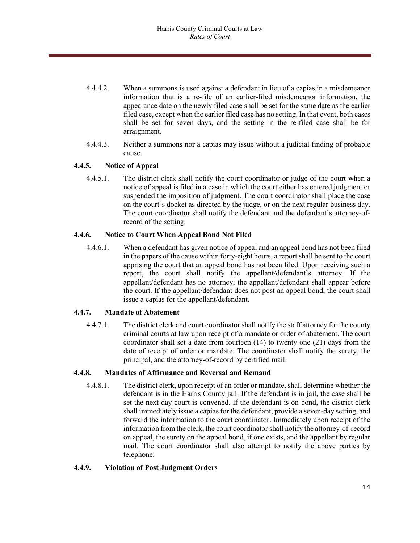- 4.4.4.2. When a summons is used against a defendant in lieu of a capias in a misdemeanor information that is a re-file of an earlier-filed misdemeanor information, the appearance date on the newly filed case shall be set for the same date as the earlier filed case, except when the earlier filed case has no setting. In that event, both cases shall be set for seven days, and the setting in the re-filed case shall be for arraignment.
- 4.4.4.3. Neither a summons nor a capias may issue without a judicial finding of probable cause.

# **4.4.5. Notice of Appeal**

4.4.5.1. The district clerk shall notify the court coordinator or judge of the court when a notice of appeal is filed in a case in which the court either has entered judgment or suspended the imposition of judgment. The court coordinator shall place the case on the court's docket as directed by the judge, or on the next regular business day. The court coordinator shall notify the defendant and the defendant's attorney-ofrecord of the setting.

#### **4.4.6. Notice to Court When Appeal Bond Not Filed**

4.4.6.1. When a defendant has given notice of appeal and an appeal bond has not been filed in the papers of the cause within forty-eight hours, a report shall be sent to the court apprising the court that an appeal bond has not been filed. Upon receiving such a report, the court shall notify the appellant/defendant's attorney. If the appellant/defendant has no attorney, the appellant/defendant shall appear before the court. If the appellant/defendant does not post an appeal bond, the court shall issue a capias for the appellant/defendant.

#### **4.4.7. Mandate of Abatement**

4.4.7.1. The district clerk and court coordinator shall notify the staff attorney for the county criminal courts at law upon receipt of a mandate or order of abatement. The court coordinator shall set a date from fourteen (14) to twenty one (21) days from the date of receipt of order or mandate. The coordinator shall notify the surety, the principal, and the attorney-of-record by certified mail.

#### **4.4.8. Mandates of Affirmance and Reversal and Remand**

4.4.8.1. The district clerk, upon receipt of an order or mandate, shall determine whether the defendant is in the Harris County jail. If the defendant is in jail, the case shall be set the next day court is convened. If the defendant is on bond, the district clerk shall immediately issue a capias for the defendant, provide a seven-day setting, and forward the information to the court coordinator. Immediately upon receipt of the information from the clerk, the court coordinator shall notify the attorney-of-record on appeal, the surety on the appeal bond, if one exists, and the appellant by regular mail. The court coordinator shall also attempt to notify the above parties by telephone.

#### **4.4.9. Violation of Post Judgment Orders**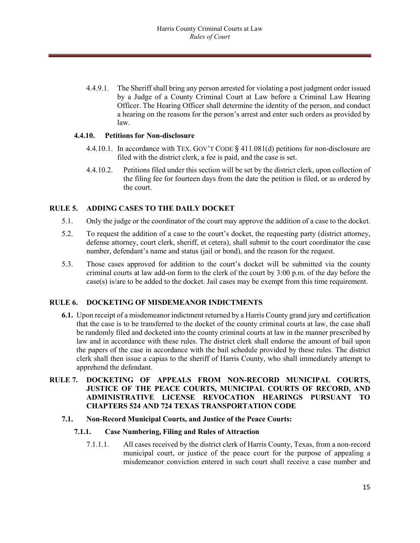4.4.9.1. The Sheriff shall bring any person arrested for violating a post judgment order issued by a Judge of a County Criminal Court at Law before a Criminal Law Hearing Officer. The Hearing Officer shall determine the identity of the person, and conduct a hearing on the reasons for the person's arrest and enter such orders as provided by law.

#### **4.4.10. Petitions for Non-disclosure**

- 4.4.10.1. In accordance with TEX. GOV'T CODE § 411.081(d) petitions for non-disclosure are filed with the district clerk, a fee is paid, and the case is set.
- 4.4.10.2. Petitions filed under this section will be set by the district clerk, upon collection of the filing fee for fourteen days from the date the petition is filed, or as ordered by the court.

#### **RULE 5. ADDING CASES TO THE DAILY DOCKET**

- 5.1. Only the judge or the coordinator of the court may approve the addition of a case to the docket.
- 5.2. To request the addition of a case to the court's docket, the requesting party (district attorney, defense attorney, court clerk, sheriff, et cetera), shall submit to the court coordinator the case number, defendant's name and status (jail or bond), and the reason for the request.
- 5.3. Those cases approved for addition to the court's docket will be submitted via the county criminal courts at law add-on form to the clerk of the court by 3:00 p.m. of the day before the case(s) is/are to be added to the docket. Jail cases may be exempt from this time requirement.

#### **RULE 6. DOCKETING OF MISDEMEANOR INDICTMENTS**

**6.1.** Upon receipt of a misdemeanor indictment returned by a Harris County grand jury and certification that the case is to be transferred to the docket of the county criminal courts at law, the case shall be randomly filed and docketed into the county criminal courts at law in the manner prescribed by law and in accordance with these rules. The district clerk shall endorse the amount of bail upon the papers of the case in accordance with the bail schedule provided by these rules. The district clerk shall then issue a capias to the sheriff of Harris County, who shall immediately attempt to apprehend the defendant.

# **RULE 7. DOCKETING OF APPEALS FROM NON-RECORD MUNICIPAL COURTS, JUSTICE OF THE PEACE COURTS, MUNICIPAL COURTS OF RECORD, AND ADMINISTRATIVE LICENSE REVOCATION HEARINGS PURSUANT TO CHAPTERS 524 AND 724 TEXAS TRANSPORTATION CODE**

**7.1. Non-Record Municipal Courts, and Justice of the Peace Courts:**

#### **7.1.1. Case Numbering, Filing and Rules of Attraction**

7.1.1.1. All cases received by the district clerk of Harris County, Texas, from a non-record municipal court, or justice of the peace court for the purpose of appealing a misdemeanor conviction entered in such court shall receive a case number and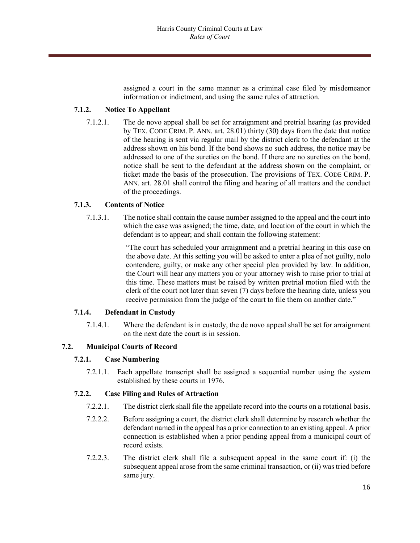assigned a court in the same manner as a criminal case filed by misdemeanor information or indictment, and using the same rules of attraction.

# **7.1.2. Notice To Appellant**

7.1.2.1. The de novo appeal shall be set for arraignment and pretrial hearing (as provided by TEX. CODE CRIM. P. ANN. art. 28.01) thirty (30) days from the date that notice of the hearing is sent via regular mail by the district clerk to the defendant at the address shown on his bond. If the bond shows no such address, the notice may be addressed to one of the sureties on the bond. If there are no sureties on the bond, notice shall be sent to the defendant at the address shown on the complaint, or ticket made the basis of the prosecution. The provisions of TEX. CODE CRIM. P. ANN. art. 28.01 shall control the filing and hearing of all matters and the conduct of the proceedings.

#### **7.1.3. Contents of Notice**

7.1.3.1. The notice shall contain the cause number assigned to the appeal and the court into which the case was assigned; the time, date, and location of the court in which the defendant is to appear; and shall contain the following statement:

> "The court has scheduled your arraignment and a pretrial hearing in this case on the above date. At this setting you will be asked to enter a plea of not guilty, nolo contendere, guilty, or make any other special plea provided by law. In addition, the Court will hear any matters you or your attorney wish to raise prior to trial at this time. These matters must be raised by written pretrial motion filed with the clerk of the court not later than seven (7) days before the hearing date, unless you receive permission from the judge of the court to file them on another date."

#### **7.1.4. Defendant in Custody**

7.1.4.1. Where the defendant is in custody, the de novo appeal shall be set for arraignment on the next date the court is in session.

#### **7.2. Municipal Courts of Record**

#### **7.2.1. Case Numbering**

7.2.1.1. Each appellate transcript shall be assigned a sequential number using the system established by these courts in 1976.

#### **7.2.2. Case Filing and Rules of Attraction**

- 7.2.2.1. The district clerk shall file the appellate record into the courts on a rotational basis.
- 7.2.2.2. Before assigning a court, the district clerk shall determine by research whether the defendant named in the appeal has a prior connection to an existing appeal. A prior connection is established when a prior pending appeal from a municipal court of record exists.
- 7.2.2.3. The district clerk shall file a subsequent appeal in the same court if: (i) the subsequent appeal arose from the same criminal transaction, or (ii) was tried before same jury.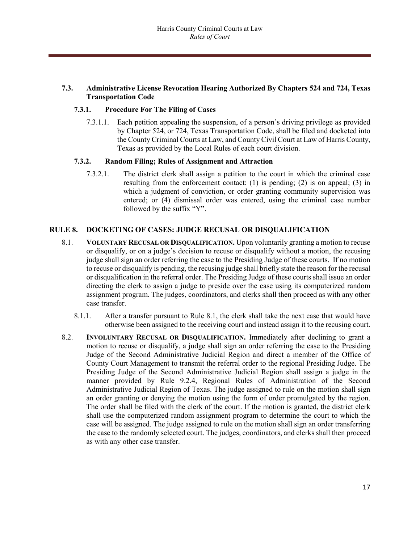# **7.3. Administrative License Revocation Hearing Authorized By Chapters 524 and 724, Texas Transportation Code**

#### **7.3.1. Procedure For The Filing of Cases**

7.3.1.1. Each petition appealing the suspension, of a person's driving privilege as provided by Chapter 524, or 724, Texas Transportation Code, shall be filed and docketed into the County Criminal Courts at Law, and County Civil Court at Law of Harris County, Texas as provided by the Local Rules of each court division.

#### **7.3.2. Random Filing; Rules of Assignment and Attraction**

7.3.2.1. The district clerk shall assign a petition to the court in which the criminal case resulting from the enforcement contact: (1) is pending; (2) is on appeal; (3) in which a judgment of conviction, or order granting community supervision was entered; or (4) dismissal order was entered, using the criminal case number followed by the suffix "Y".

#### **RULE 8. DOCKETING OF CASES: JUDGE RECUSAL OR DISQUALIFICATION**

- 8.1. **VOLUNTARY RECUSAL OR DISQUALIFICATION.** Upon voluntarily granting a motion to recuse or disqualify, or on a judge's decision to recuse or disqualify without a motion, the recusing judge shall sign an order referring the case to the Presiding Judge of these courts. If no motion to recuse or disqualify is pending, the recusing judge shall briefly state the reason for the recusal or disqualification in the referral order. The Presiding Judge of these courts shall issue an order directing the clerk to assign a judge to preside over the case using its computerized random assignment program. The judges, coordinators, and clerks shall then proceed as with any other case transfer.
	- 8.1.1. After a transfer pursuant to Rule 8.1, the clerk shall take the next case that would have otherwise been assigned to the receiving court and instead assign it to the recusing court.
- 8.2. **INVOLUNTARY RECUSAL OR DISQUALIFICATION.** Immediately after declining to grant a motion to recuse or disqualify, a judge shall sign an order referring the case to the Presiding Judge of the Second Administrative Judicial Region and direct a member of the Office of County Court Management to transmit the referral order to the regional Presiding Judge. The Presiding Judge of the Second Administrative Judicial Region shall assign a judge in the manner provided by Rule 9.2.4, Regional Rules of Administration of the Second Administrative Judicial Region of Texas. The judge assigned to rule on the motion shall sign an order granting or denying the motion using the form of order promulgated by the region. The order shall be filed with the clerk of the court. If the motion is granted, the district clerk shall use the computerized random assignment program to determine the court to which the case will be assigned. The judge assigned to rule on the motion shall sign an order transferring the case to the randomly selected court. The judges, coordinators, and clerks shall then proceed as with any other case transfer.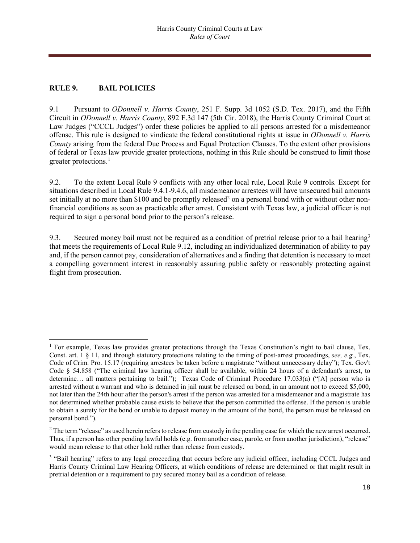# **RULE 9. BAIL POLICIES**

 $\overline{\phantom{a}}$ 

9.1 Pursuant to *ODonnell v. Harris County*, 251 F. Supp. 3d 1052 (S.D. Tex. 2017), and the Fifth Circuit in *ODonnell v. Harris County*, 892 F.3d 147 (5th Cir. 2018), the Harris County Criminal Court at Law Judges ("CCCL Judges") order these policies be applied to all persons arrested for a misdemeanor offense. This rule is designed to vindicate the federal constitutional rights at issue in *ODonnell v. Harris County* arising from the federal Due Process and Equal Protection Clauses. To the extent other provisions of federal or Texas law provide greater protections, nothing in this Rule should be construed to limit those greater protections.<sup>1</sup>

9.2. To the extent Local Rule 9 conflicts with any other local rule, Local Rule 9 controls. Except for situations described in Local Rule 9.4.1-9.4.6, all misdemeanor arrestees will have unsecured bail amounts set initially at no more than \$100 and be promptly released<sup>[2](#page-17-1)</sup> on a personal bond with or without other nonfinancial conditions as soon as practicable after arrest. Consistent with Texas law, a judicial officer is not required to sign a personal bond prior to the person's release.

9.[3](#page-17-2). Secured money bail must not be required as a condition of pretrial release prior to a bail hearing<sup>3</sup> that meets the requirements of Local Rule 9.12, including an individualized determination of ability to pay and, if the person cannot pay, consideration of alternatives and a finding that detention is necessary to meet a compelling government interest in reasonably assuring public safety or reasonably protecting against flight from prosecution.

<span id="page-17-0"></span><sup>&</sup>lt;sup>1</sup> For example, Texas law provides greater protections through the Texas Constitution's right to bail clause, Tex. Const. art. 1 § 11, and through statutory protections relating to the timing of post-arrest proceedings, *see, e.g.*, Tex. Code of Crim. Pro. 15.17 (requiring arrestees be taken before a magistrate "without unnecessary delay"); Tex. Gov't Code § 54.858 ("The criminal law hearing officer shall be available, within 24 hours of a defendant's arrest, to determine… all matters pertaining to bail."); Texas Code of Criminal Procedure 17.033(a) ("[A] person who is arrested without a warrant and who is detained in jail must be released on bond, in an amount not to exceed \$5,000, not later than the 24th hour after the person's arrest if the person was arrested for a misdemeanor and a magistrate has not determined whether probable cause exists to believe that the person committed the offense. If the person is unable to obtain a surety for the bond or unable to deposit money in the amount of the bond, the person must be released on personal bond.").

<span id="page-17-1"></span> $2$  The term "release" as used herein refers to release from custody in the pending case for which the new arrest occurred. Thus, if a person has other pending lawful holds (e.g. from another case, parole, or from another jurisdiction), "release" would mean release to that other hold rather than release from custody.

<span id="page-17-2"></span><sup>&</sup>lt;sup>3</sup> "Bail hearing" refers to any legal proceeding that occurs before any judicial officer, including CCCL Judges and Harris County Criminal Law Hearing Officers, at which conditions of release are determined or that might result in pretrial detention or a requirement to pay secured money bail as a condition of release.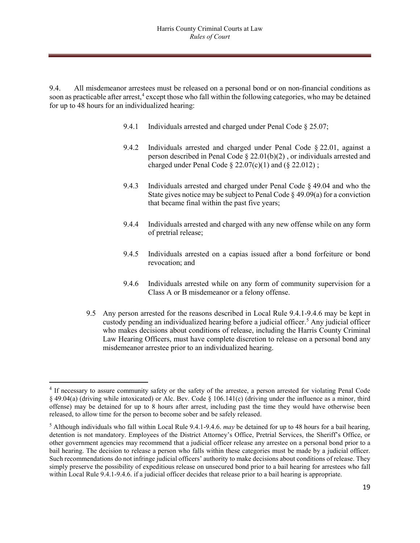9.4. All misdemeanor arrestees must be released on a personal bond or on non-financial conditions as soon as practicable after arrest, $4$  except those who fall within the following categories, who may be detained for up to 48 hours for an individualized hearing:

- 9.4.1 Individuals arrested and charged under Penal Code § 25.07;
- 9.4.2 Individuals arrested and charged under Penal Code § 22.01, against a person described in Penal Code § 22.01(b)(2) , or individuals arrested and charged under Penal Code  $\S 22.07(c)(1)$  and  $(\S 22.012)$ ;
- 9.4.3 Individuals arrested and charged under Penal Code § 49.04 and who the State gives notice may be subject to Penal Code  $\S$  49.09(a) for a conviction that became final within the past five years;
- 9.4.4 Individuals arrested and charged with any new offense while on any form of pretrial release;
- 9.4.5 Individuals arrested on a capias issued after a bond forfeiture or bond revocation; and
- 9.4.6 Individuals arrested while on any form of community supervision for a Class A or B misdemeanor or a felony offense.
- 9.5 Any person arrested for the reasons described in Local Rule 9.4.1-9.4.6 may be kept in custody pending an individualized hearing before a judicial officer.<sup>[5](#page-18-1)</sup> Any judicial officer who makes decisions about conditions of release, including the Harris County Criminal Law Hearing Officers, must have complete discretion to release on a personal bond any misdemeanor arrestee prior to an individualized hearing.

 $\overline{a}$ 

<span id="page-18-0"></span><sup>4</sup> If necessary to assure community safety or the safety of the arrestee, a person arrested for violating Penal Code § 49.04(a) (driving while intoxicated) or Alc. Bev. Code § 106.141(c) (driving under the influence as a minor, third offense) may be detained for up to 8 hours after arrest, including past the time they would have otherwise been released, to allow time for the person to become sober and be safely released.

<span id="page-18-1"></span><sup>5</sup> Although individuals who fall within Local Rule 9.4.1-9.4.6. *may* be detained for up to 48 hours for a bail hearing, detention is not mandatory. Employees of the District Attorney's Office, Pretrial Services, the Sheriff's Office, or other government agencies may recommend that a judicial officer release any arrestee on a personal bond prior to a bail hearing. The decision to release a person who falls within these categories must be made by a judicial officer. Such recommendations do not infringe judicial officers' authority to make decisions about conditions of release. They simply preserve the possibility of expeditious release on unsecured bond prior to a bail hearing for arrestees who fall within Local Rule 9.4.1-9.4.6. if a judicial officer decides that release prior to a bail hearing is appropriate.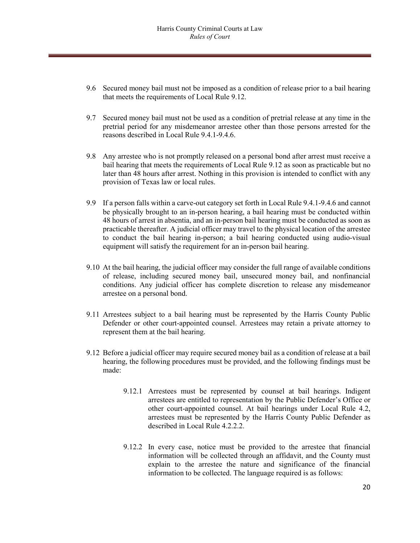- 9.6 Secured money bail must not be imposed as a condition of release prior to a bail hearing that meets the requirements of Local Rule 9.12.
- 9.7 Secured money bail must not be used as a condition of pretrial release at any time in the pretrial period for any misdemeanor arrestee other than those persons arrested for the reasons described in Local Rule 9.4.1-9.4.6.
- 9.8 Any arrestee who is not promptly released on a personal bond after arrest must receive a bail hearing that meets the requirements of Local Rule 9.12 as soon as practicable but no later than 48 hours after arrest. Nothing in this provision is intended to conflict with any provision of Texas law or local rules.
- 9.9 If a person falls within a carve-out category set forth in Local Rule 9.4.1-9.4.6 and cannot be physically brought to an in-person hearing, a bail hearing must be conducted within 48 hours of arrest in absentia, and an in-person bail hearing must be conducted as soon as practicable thereafter. A judicial officer may travel to the physical location of the arrestee to conduct the bail hearing in-person; a bail hearing conducted using audio-visual equipment will satisfy the requirement for an in-person bail hearing.
- 9.10 At the bail hearing, the judicial officer may consider the full range of available conditions of release, including secured money bail, unsecured money bail, and nonfinancial conditions. Any judicial officer has complete discretion to release any misdemeanor arrestee on a personal bond.
- 9.11 Arrestees subject to a bail hearing must be represented by the Harris County Public Defender or other court-appointed counsel. Arrestees may retain a private attorney to represent them at the bail hearing.
- 9.12 Before a judicial officer may require secured money bail as a condition of release at a bail hearing, the following procedures must be provided, and the following findings must be made:
	- 9.12.1 Arrestees must be represented by counsel at bail hearings. Indigent arrestees are entitled to representation by the Public Defender's Office or other court-appointed counsel. At bail hearings under Local Rule 4.2, arrestees must be represented by the Harris County Public Defender as described in Local Rule 4.2.2.2.
	- 9.12.2 In every case, notice must be provided to the arrestee that financial information will be collected through an affidavit, and the County must explain to the arrestee the nature and significance of the financial information to be collected. The language required is as follows: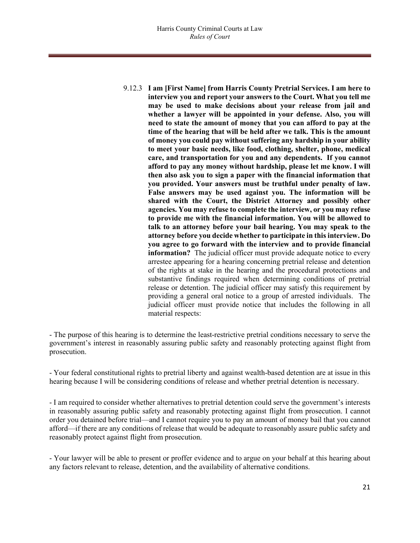9.12.3 **I am [First Name] from Harris County Pretrial Services. I am here to interview you and report your answers to the Court. What you tell me may be used to make decisions about your release from jail and whether a lawyer will be appointed in your defense. Also, you will need to state the amount of money that you can afford to pay at the time of the hearing that will be held after we talk. This is the amount of money you could pay without suffering any hardship in your ability to meet your basic needs, like food, clothing, shelter, phone, medical care, and transportation for you and any dependents. If you cannot afford to pay any money without hardship, please let me know. I will then also ask you to sign a paper with the financial information that you provided. Your answers must be truthful under penalty of law. False answers may be used against you. The information will be shared with the Court, the District Attorney and possibly other agencies. You may refuse to complete the interview, or you may refuse to provide me with the financial information. You will be allowed to talk to an attorney before your bail hearing. You may speak to the attorney before you decide whether to participate in this interview. Do you agree to go forward with the interview and to provide financial information?** The judicial officer must provide adequate notice to every arrestee appearing for a hearing concerning pretrial release and detention of the rights at stake in the hearing and the procedural protections and substantive findings required when determining conditions of pretrial release or detention. The judicial officer may satisfy this requirement by providing a general oral notice to a group of arrested individuals. The judicial officer must provide notice that includes the following in all material respects:

- The purpose of this hearing is to determine the least-restrictive pretrial conditions necessary to serve the government's interest in reasonably assuring public safety and reasonably protecting against flight from prosecution.

- Your federal constitutional rights to pretrial liberty and against wealth-based detention are at issue in this hearing because I will be considering conditions of release and whether pretrial detention is necessary.

- I am required to consider whether alternatives to pretrial detention could serve the government's interests in reasonably assuring public safety and reasonably protecting against flight from prosecution. I cannot order you detained before trial—and I cannot require you to pay an amount of money bail that you cannot afford—if there are any conditions of release that would be adequate to reasonably assure public safety and reasonably protect against flight from prosecution.

- Your lawyer will be able to present or proffer evidence and to argue on your behalf at this hearing about any factors relevant to release, detention, and the availability of alternative conditions.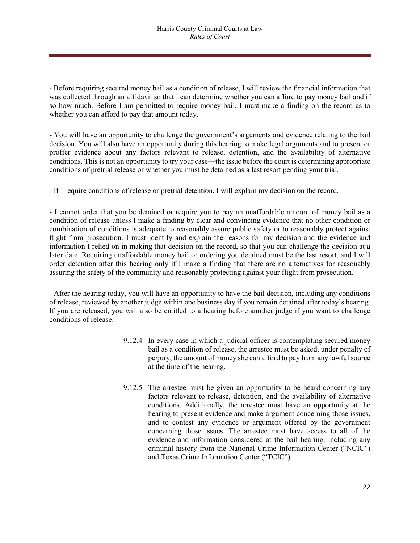- Before requiring secured money bail as a condition of release, I will review the financial information that was collected through an affidavit so that I can determine whether you can afford to pay money bail and if so how much. Before I am permitted to require money bail, I must make a finding on the record as to whether you can afford to pay that amount today.

- You will have an opportunity to challenge the government's arguments and evidence relating to the bail decision. You will also have an opportunity during this hearing to make legal arguments and to present or proffer evidence about any factors relevant to release, detention, and the availability of alternative conditions. This is not an opportunity to try your case—the issue before the court is determining appropriate conditions of pretrial release or whether you must be detained as a last resort pending your trial.

- If I require conditions of release or pretrial detention, I will explain my decision on the record.

- I cannot order that you be detained or require you to pay an unaffordable amount of money bail as a condition of release unless I make a finding by clear and convincing evidence that no other condition or combination of conditions is adequate to reasonably assure public safety or to reasonably protect against flight from prosecution. I must identify and explain the reasons for my decision and the evidence and information I relied on in making that decision on the record, so that you can challenge the decision at a later date. Requiring unaffordable money bail or ordering you detained must be the last resort, and I will order detention after this hearing only if I make a finding that there are no alternatives for reasonably assuring the safety of the community and reasonably protecting against your flight from prosecution.

- After the hearing today, you will have an opportunity to have the bail decision, including any conditions of release, reviewed by another judge within one business day if you remain detained after today's hearing. If you are released, you will also be entitled to a hearing before another judge if you want to challenge conditions of release.

- 9.12.4 In every case in which a judicial officer is contemplating secured money bail as a condition of release, the arrestee must be asked, under penalty of perjury, the amount of money she can afford to pay from any lawful source at the time of the hearing.
- 9.12.5 The arrestee must be given an opportunity to be heard concerning any factors relevant to release, detention, and the availability of alternative conditions. Additionally, the arrestee must have an opportunity at the hearing to present evidence and make argument concerning those issues, and to contest any evidence or argument offered by the government concerning those issues. The arrestee must have access to all of the evidence and information considered at the bail hearing, including any criminal history from the National Crime Information Center ("NCIC") and Texas Crime Information Center ("TCIC").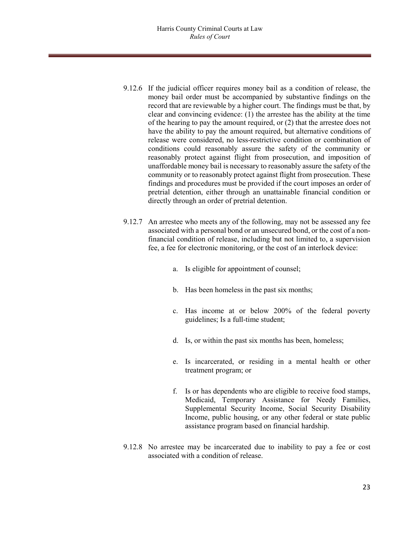- 9.12.6 If the judicial officer requires money bail as a condition of release, the money bail order must be accompanied by substantive findings on the record that are reviewable by a higher court. The findings must be that, by clear and convincing evidence: (1) the arrestee has the ability at the time of the hearing to pay the amount required, or (2) that the arrestee does not have the ability to pay the amount required, but alternative conditions of release were considered, no less-restrictive condition or combination of conditions could reasonably assure the safety of the community or reasonably protect against flight from prosecution, and imposition of unaffordable money bail is necessary to reasonably assure the safety of the community or to reasonably protect against flight from prosecution. These findings and procedures must be provided if the court imposes an order of pretrial detention, either through an unattainable financial condition or directly through an order of pretrial detention.
- 9.12.7 An arrestee who meets any of the following, may not be assessed any fee associated with a personal bond or an unsecured bond, or the cost of a nonfinancial condition of release, including but not limited to, a supervision fee, a fee for electronic monitoring, or the cost of an interlock device:
	- a. Is eligible for appointment of counsel;
	- b. Has been homeless in the past six months;
	- c. Has income at or below 200% of the federal poverty guidelines; Is a full-time student;
	- d. Is, or within the past six months has been, homeless;
	- e. Is incarcerated, or residing in a mental health or other treatment program; or
	- f. Is or has dependents who are eligible to receive food stamps, Medicaid, Temporary Assistance for Needy Families, Supplemental Security Income, Social Security Disability Income, public housing, or any other federal or state public assistance program based on financial hardship.
- 9.12.8 No arrestee may be incarcerated due to inability to pay a fee or cost associated with a condition of release.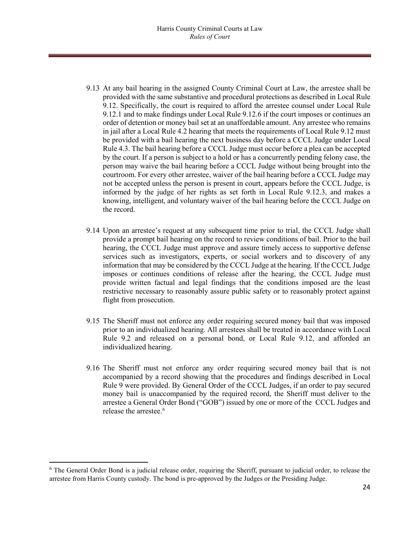- 9.13 At any bail hearing in the assigned County Criminal Court at Law, the arrestee shall be provided with the same substantive and procedural protections as described in Local Rule 9.12. Specifically, the court is required to afford the arrestee counsel under Local Rule 9.12.1 and to make findings under Local Rule 9.12.6 if the court imposes or continues an order of detention or money bail set at an unaffordable amount. Any arrestee who remains in jail after a Local Rule 4.2 hearing that meets the requirements of Local Rule 9.12 must be provided with a bail hearing the next business day before a CCCL Judge under Local Rule 4.3. The bail hearing before a CCCL Judge must occur before a plea can be accepted by the court. If a person is subject to a hold or has a concurrently pending felony case, the person may waive the bail hearing before a CCCL Judge without being brought into the courtroom. For every other arrestee, waiver of the bail hearing before a CCCL Judge may not be accepted unless the person is present in court, appears before the CCCL Judge, is informed by the judge of her rights as set forth in Local Rule 9.12.3, and makes a knowing, intelligent, and voluntary waiver of the bail hearing before the CCCL Judge on the record.
- 9.14 Upon an arrestee's request at any subsequent time prior to trial, the CCCL Judge shall provide a prompt bail hearing on the record to review conditions of bail. Prior to the bail hearing, the CCCL Judge must approve and assure timely access to supportive defense services such as investigators, experts, or social workers and to discovery of any information that may be considered by the CCCL Judge at the hearing. If the CCCL Judge imposes or continues conditions of release after the hearing, the CCCL Judge must provide written factual and legal findings that the conditions imposed are the least restrictive necessary to reasonably assure public safety or to reasonably protect against flight from prosecution.
- 9.15 The Sheriff must not enforce any order requiring secured money bail that was imposed prior to an individualized hearing. All arrestees shall be treated in accordance with Local Rule 9.2 and released on a personal bond, or Local Rule 9.12, and afforded an individualized hearing.
- 9.16 The Sheriff must not enforce any order requiring secured money bail that is not accompanied by a record showing that the procedures and findings described in Local Rule 9 were provided. By General Order of the CCCL Judges, if an order to pay secured money bail is unaccompanied by the required record, the Sheriff must deliver to the arrestee a General Order Bond ("GOB") issued by one or more of the CCCL Judges and release the arrestee.<sup>[6](#page-23-0)</sup>

l

<span id="page-23-0"></span> $6$  The General Order Bond is a judicial release order, requiring the Sheriff, pursuant to judicial order, to release the arrestee from Harris County custody. The bond is pre-approved by the Judges or the Presiding Judge.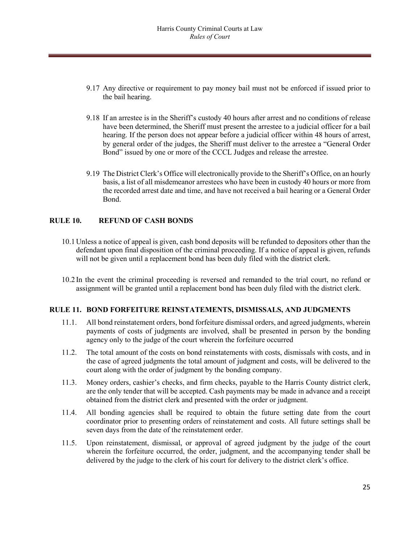- 9.17 Any directive or requirement to pay money bail must not be enforced if issued prior to the bail hearing.
- 9.18 If an arrestee is in the Sheriff's custody 40 hours after arrest and no conditions of release have been determined, the Sheriff must present the arrestee to a judicial officer for a bail hearing. If the person does not appear before a judicial officer within 48 hours of arrest, by general order of the judges, the Sheriff must deliver to the arrestee a "General Order Bond" issued by one or more of the CCCL Judges and release the arrestee.
- 9.19 The District Clerk's Office will electronically provide to the Sheriff's Office, on an hourly basis, a list of all misdemeanor arrestees who have been in custody 40 hours or more from the recorded arrest date and time, and have not received a bail hearing or a General Order Bond.

# **RULE 10. REFUND OF CASH BONDS**

- 10.1 Unless a notice of appeal is given, cash bond deposits will be refunded to depositors other than the defendant upon final disposition of the criminal proceeding. If a notice of appeal is given, refunds will not be given until a replacement bond has been duly filed with the district clerk.
- 10.2 In the event the criminal proceeding is reversed and remanded to the trial court, no refund or assignment will be granted until a replacement bond has been duly filed with the district clerk.

#### **RULE 11. BOND FORFEITURE REINSTATEMENTS, DISMISSALS, AND JUDGMENTS**

- 11.1. All bond reinstatement orders, bond forfeiture dismissal orders, and agreed judgments, wherein payments of costs of judgments are involved, shall be presented in person by the bonding agency only to the judge of the court wherein the forfeiture occurred
- 11.2. The total amount of the costs on bond reinstatements with costs, dismissals with costs, and in the case of agreed judgments the total amount of judgment and costs, will be delivered to the court along with the order of judgment by the bonding company.
- 11.3. Money orders, cashier's checks, and firm checks, payable to the Harris County district clerk, are the only tender that will be accepted. Cash payments may be made in advance and a receipt obtained from the district clerk and presented with the order or judgment.
- 11.4. All bonding agencies shall be required to obtain the future setting date from the court coordinator prior to presenting orders of reinstatement and costs. All future settings shall be seven days from the date of the reinstatement order.
- 11.5. Upon reinstatement, dismissal, or approval of agreed judgment by the judge of the court wherein the forfeiture occurred, the order, judgment, and the accompanying tender shall be delivered by the judge to the clerk of his court for delivery to the district clerk's office.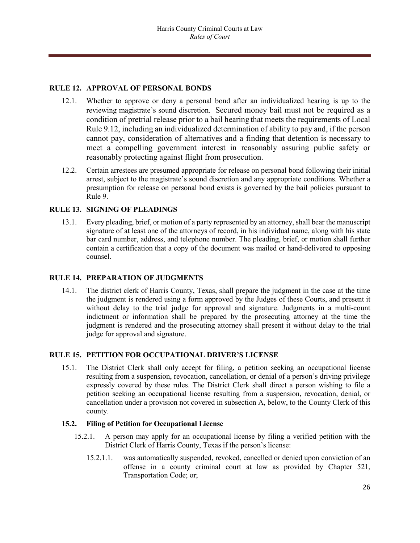# **RULE 12. APPROVAL OF PERSONAL BONDS**

- 12.1. Whether to approve or deny a personal bond after an individualized hearing is up to the reviewing magistrate's sound discretion. Secured money bail must not be required as a condition of pretrial release prior to a bail hearing that meets the requirements of Local Rule 9.12, including an individualized determination of ability to pay and, if the person cannot pay, consideration of alternatives and a finding that detention is necessary to meet a compelling government interest in reasonably assuring public safety or reasonably protecting against flight from prosecution.
- 12.2. Certain arrestees are presumed appropriate for release on personal bond following their initial arrest, subject to the magistrate's sound discretion and any appropriate conditions. Whether a presumption for release on personal bond exists is governed by the bail policies pursuant to Rule 9.

#### **RULE 13. SIGNING OF PLEADINGS**

13.1. Every pleading, brief, or motion of a party represented by an attorney, shall bear the manuscript signature of at least one of the attorneys of record, in his individual name, along with his state bar card number, address, and telephone number. The pleading, brief, or motion shall further contain a certification that a copy of the document was mailed or hand-delivered to opposing counsel.

#### **RULE 14. PREPARATION OF JUDGMENTS**

14.1. The district clerk of Harris County, Texas, shall prepare the judgment in the case at the time the judgment is rendered using a form approved by the Judges of these Courts, and present it without delay to the trial judge for approval and signature. Judgments in a multi-count indictment or information shall be prepared by the prosecuting attorney at the time the judgment is rendered and the prosecuting attorney shall present it without delay to the trial judge for approval and signature.

#### **RULE 15. PETITION FOR OCCUPATIONAL DRIVER'S LICENSE**

15.1. The District Clerk shall only accept for filing, a petition seeking an occupational license resulting from a suspension, revocation, cancellation, or denial of a person's driving privilege expressly covered by these rules. The District Clerk shall direct a person wishing to file a petition seeking an occupational license resulting from a suspension, revocation, denial, or cancellation under a provision not covered in subsection A, below, to the County Clerk of this county.

#### **15.2. Filing of Petition for Occupational License**

- 15.2.1. A person may apply for an occupational license by filing a verified petition with the District Clerk of Harris County, Texas if the person's license:
	- 15.2.1.1. was automatically suspended, revoked, cancelled or denied upon conviction of an offense in a county criminal court at law as provided by Chapter 521, Transportation Code; or;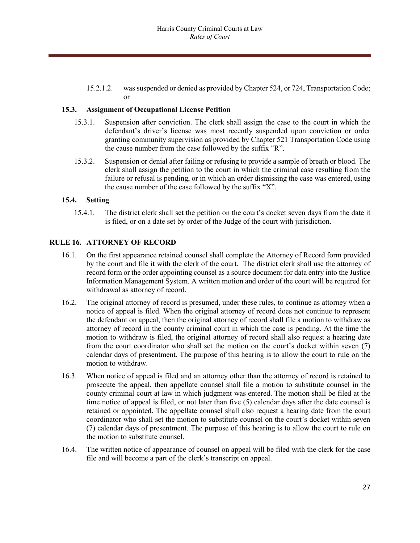15.2.1.2. was suspended or denied as provided by Chapter 524, or 724, Transportation Code; or

#### **15.3. Assignment of Occupational License Petition**

- 15.3.1. Suspension after conviction. The clerk shall assign the case to the court in which the defendant's driver's license was most recently suspended upon conviction or order granting community supervision as provided by Chapter 521 Transportation Code using the cause number from the case followed by the suffix "R".
- 15.3.2. Suspension or denial after failing or refusing to provide a sample of breath or blood. The clerk shall assign the petition to the court in which the criminal case resulting from the failure or refusal is pending, or in which an order dismissing the case was entered, using the cause number of the case followed by the suffix "X".

# **15.4. Setting**

15.4.1. The district clerk shall set the petition on the court's docket seven days from the date it is filed, or on a date set by order of the Judge of the court with jurisdiction.

#### **RULE 16. ATTORNEY OF RECORD**

- 16.1. On the first appearance retained counsel shall complete the Attorney of Record form provided by the court and file it with the clerk of the court. The district clerk shall use the attorney of record form or the order appointing counsel as a source document for data entry into the Justice Information Management System. A written motion and order of the court will be required for withdrawal as attorney of record.
- 16.2. The original attorney of record is presumed, under these rules, to continue as attorney when a notice of appeal is filed. When the original attorney of record does not continue to represent the defendant on appeal, then the original attorney of record shall file a motion to withdraw as attorney of record in the county criminal court in which the case is pending. At the time the motion to withdraw is filed, the original attorney of record shall also request a hearing date from the court coordinator who shall set the motion on the court's docket within seven (7) calendar days of presentment. The purpose of this hearing is to allow the court to rule on the motion to withdraw.
- 16.3. When notice of appeal is filed and an attorney other than the attorney of record is retained to prosecute the appeal, then appellate counsel shall file a motion to substitute counsel in the county criminal court at law in which judgment was entered. The motion shall be filed at the time notice of appeal is filed, or not later than five (5) calendar days after the date counsel is retained or appointed. The appellate counsel shall also request a hearing date from the court coordinator who shall set the motion to substitute counsel on the court's docket within seven (7) calendar days of presentment. The purpose of this hearing is to allow the court to rule on the motion to substitute counsel.
- 16.4. The written notice of appearance of counsel on appeal will be filed with the clerk for the case file and will become a part of the clerk's transcript on appeal.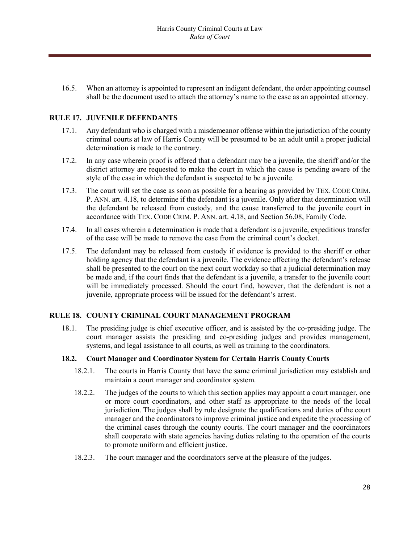16.5. When an attorney is appointed to represent an indigent defendant, the order appointing counsel shall be the document used to attach the attorney's name to the case as an appointed attorney.

#### **RULE 17. JUVENILE DEFENDANTS**

- 17.1. Any defendant who is charged with a misdemeanor offense within the jurisdiction of the county criminal courts at law of Harris County will be presumed to be an adult until a proper judicial determination is made to the contrary.
- 17.2. In any case wherein proof is offered that a defendant may be a juvenile, the sheriff and/or the district attorney are requested to make the court in which the cause is pending aware of the style of the case in which the defendant is suspected to be a juvenile.
- 17.3. The court will set the case as soon as possible for a hearing as provided by TEX. CODE CRIM. P. ANN. art. 4.18, to determine if the defendant is a juvenile. Only after that determination will the defendant be released from custody, and the cause transferred to the juvenile court in accordance with TEX. CODE CRIM. P. ANN. art. 4.18, and Section 56.08, Family Code.
- 17.4. In all cases wherein a determination is made that a defendant is a juvenile, expeditious transfer of the case will be made to remove the case from the criminal court's docket.
- 17.5. The defendant may be released from custody if evidence is provided to the sheriff or other holding agency that the defendant is a juvenile. The evidence affecting the defendant's release shall be presented to the court on the next court workday so that a judicial determination may be made and, if the court finds that the defendant is a juvenile, a transfer to the juvenile court will be immediately processed. Should the court find, however, that the defendant is not a juvenile, appropriate process will be issued for the defendant's arrest.

#### **RULE 18. COUNTY CRIMINAL COURT MANAGEMENT PROGRAM**

18.1. The presiding judge is chief executive officer, and is assisted by the co-presiding judge. The court manager assists the presiding and co-presiding judges and provides management, systems, and legal assistance to all courts, as well as training to the coordinators.

#### **18.2. Court Manager and Coordinator System for Certain Harris County Courts**

- 18.2.1. The courts in Harris County that have the same criminal jurisdiction may establish and maintain a court manager and coordinator system.
- 18.2.2. The judges of the courts to which this section applies may appoint a court manager, one or more court coordinators, and other staff as appropriate to the needs of the local jurisdiction. The judges shall by rule designate the qualifications and duties of the court manager and the coordinators to improve criminal justice and expedite the processing of the criminal cases through the county courts. The court manager and the coordinators shall cooperate with state agencies having duties relating to the operation of the courts to promote uniform and efficient justice.
- 18.2.3. The court manager and the coordinators serve at the pleasure of the judges.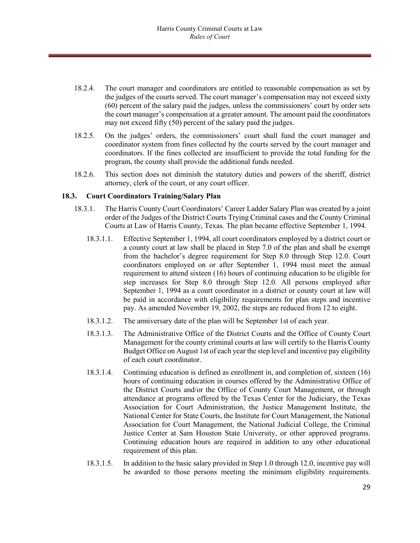- 18.2.4. The court manager and coordinators are entitled to reasonable compensation as set by the judges of the courts served. The court manager's compensation may not exceed sixty (60) percent of the salary paid the judges, unless the commissioners' court by order sets the court manager's compensation at a greater amount. The amount paid the coordinators may not exceed fifty (50) percent of the salary paid the judges.
- 18.2.5. On the judges' orders, the commissioners' court shall fund the court manager and coordinator system from fines collected by the courts served by the court manager and coordinators. If the fines collected are insufficient to provide the total funding for the program, the county shall provide the additional funds needed.
- 18.2.6. This section does not diminish the statutory duties and powers of the sheriff, district attorney, clerk of the court, or any court officer.

#### **18.3. Court Coordinators Training/Salary Plan**

- 18.3.1. The Harris County Court Coordinators' Career Ladder Salary Plan was created by a joint order of the Judges of the District Courts Trying Criminal cases and the County Criminal Courts at Law of Harris County, Texas. The plan became effective September 1, 1994.
	- 18.3.1.1. Effective September 1, 1994, all court coordinators employed by a district court or a county court at law shall be placed in Step 7.0 of the plan and shall be exempt from the bachelor's degree requirement for Step 8.0 through Step 12.0. Court coordinators employed on or after September 1, 1994 must meet the annual requirement to attend sixteen (16) hours of continuing education to be eligible for step increases for Step 8.0 through Step 12.0. All persons employed after September 1, 1994 as a court coordinator in a district or county court at law will be paid in accordance with eligibility requirements for plan steps and incentive pay. As amended November 19, 2002, the steps are reduced from 12 to eight.
	- 18.3.1.2. The anniversary date of the plan will be September 1st of each year.
	- 18.3.1.3. The Administrative Office of the District Courts and the Office of County Court Management for the county criminal courts at law will certify to the Harris County Budget Office on August 1st of each year the step level and incentive pay eligibility of each court coordinator.
	- 18.3.1.4. Continuing education is defined as enrollment in, and completion of, sixteen (16) hours of continuing education in courses offered by the Administrative Office of the District Courts and/or the Office of County Court Management, or through attendance at programs offered by the Texas Center for the Judiciary, the Texas Association for Court Administration, the Justice Management Institute, the National Center for State Courts, the Institute for Court Management, the National Association for Court Management, the National Judicial College, the Criminal Justice Center at Sam Houston State University, or other approved programs. Continuing education hours are required in addition to any other educational requirement of this plan.
	- 18.3.1.5. In addition to the basic salary provided in Step 1.0 through 12.0, incentive pay will be awarded to those persons meeting the minimum eligibility requirements.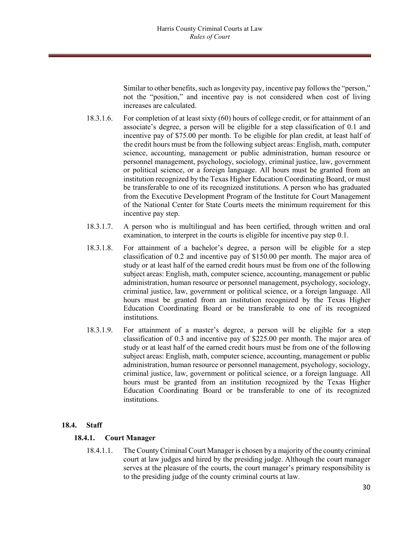Similar to other benefits, such as longevity pay, incentive pay follows the "person," not the "position," and incentive pay is not considered when cost of living increases are calculated.

- 18.3.1.6. For completion of at least sixty (60) hours of college credit, or for attainment of an associate's degree, a person will be eligible for a step classification of 0.1 and incentive pay of \$75.00 per month. To be eligible for plan credit, at least half of the credit hours must be from the following subject areas: English, math, computer science, accounting, management or public administration, human resource or personnel management, psychology, sociology, criminal justice, law, government or political science, or a foreign language. All hours must be granted from an institution recognized by the Texas Higher Education Coordinating Board, or must be transferable to one of its recognized institutions. A person who has graduated from the Executive Development Program of the Institute for Court Management of the National Center for State Courts meets the minimum requirement for this incentive pay step.
- 18.3.1.7. A person who is multilingual and has been certified, through written and oral examination, to interpret in the courts is eligible for incentive pay step 0.1.
- 18.3.1.8. For attainment of a bachelor's degree, a person will be eligible for a step classification of 0.2 and incentive pay of \$150.00 per month. The major area of study or at least half of the earned credit hours must be from one of the following subject areas: English, math, computer science, accounting, management or public administration, human resource or personnel management, psychology, sociology, criminal justice, law, government or political science, or a foreign language. All hours must be granted from an institution recognized by the Texas Higher Education Coordinating Board or be transferable to one of its recognized institutions.
- 18.3.1.9. For attainment of a master's degree, a person will be eligible for a step classification of 0.3 and incentive pay of \$225.00 per month. The major area of study or at least half of the earned credit hours must be from one of the following subject areas: English, math, computer science, accounting, management or public administration, human resource or personnel management, psychology, sociology, criminal justice, law, government or political science, or a foreign language. All hours must be granted from an institution recognized by the Texas Higher Education Coordinating Board or be transferable to one of its recognized institutions.

#### **18.4. Staff**

#### **18.4.1. Court Manager**

18.4.1.1. The County Criminal Court Manager is chosen by a majority of the county criminal court at law judges and hired by the presiding judge. Although the court manager serves at the pleasure of the courts, the court manager's primary responsibility is to the presiding judge of the county criminal courts at law.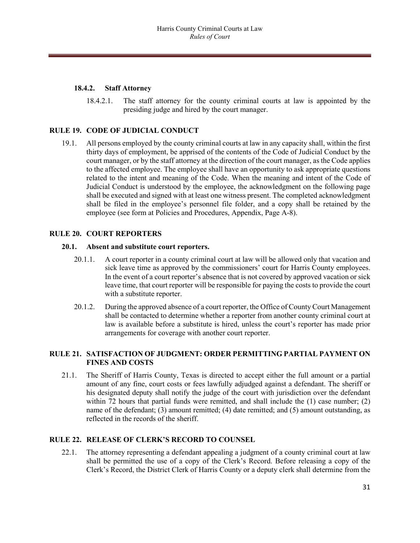#### **18.4.2. Staff Attorney**

18.4.2.1. The staff attorney for the county criminal courts at law is appointed by the presiding judge and hired by the court manager.

# **RULE 19. CODE OF JUDICIAL CONDUCT**

19.1. All persons employed by the county criminal courts at law in any capacity shall, within the first thirty days of employment, be apprised of the contents of the Code of Judicial Conduct by the court manager, or by the staff attorney at the direction of the court manager, as the Code applies to the affected employee. The employee shall have an opportunity to ask appropriate questions related to the intent and meaning of the Code. When the meaning and intent of the Code of Judicial Conduct is understood by the employee, the acknowledgment on the following page shall be executed and signed with at least one witness present. The completed acknowledgment shall be filed in the employee's personnel file folder, and a copy shall be retained by the employee (see form at Policies and Procedures, Appendix, Page A-8).

# **RULE 20. COURT REPORTERS**

#### **20.1. Absent and substitute court reporters.**

- 20.1.1. A court reporter in a county criminal court at law will be allowed only that vacation and sick leave time as approved by the commissioners' court for Harris County employees. In the event of a court reporter's absence that is not covered by approved vacation or sick leave time, that court reporter will be responsible for paying the costs to provide the court with a substitute reporter.
- 20.1.2. During the approved absence of a court reporter, the Office of County Court Management shall be contacted to determine whether a reporter from another county criminal court at law is available before a substitute is hired, unless the court's reporter has made prior arrangements for coverage with another court reporter.

# **RULE 21. SATISFACTION OF JUDGMENT: ORDER PERMITTING PARTIAL PAYMENT ON FINES AND COSTS**

21.1. The Sheriff of Harris County, Texas is directed to accept either the full amount or a partial amount of any fine, court costs or fees lawfully adjudged against a defendant. The sheriff or his designated deputy shall notify the judge of the court with jurisdiction over the defendant within 72 hours that partial funds were remitted, and shall include the (1) case number; (2) name of the defendant; (3) amount remitted; (4) date remitted; and (5) amount outstanding, as reflected in the records of the sheriff.

#### **RULE 22. RELEASE OF CLERK'S RECORD TO COUNSEL**

22.1. The attorney representing a defendant appealing a judgment of a county criminal court at law shall be permitted the use of a copy of the Clerk's Record. Before releasing a copy of the Clerk's Record, the District Clerk of Harris County or a deputy clerk shall determine from the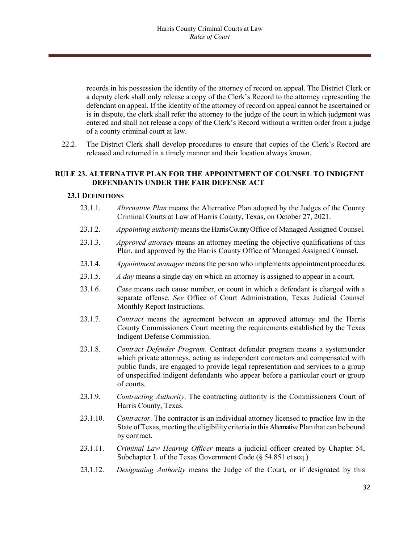records in his possession the identity of the attorney of record on appeal. The District Clerk or a deputy clerk shall only release a copy of the Clerk's Record to the attorney representing the defendant on appeal. If the identity of the attorney of record on appeal cannot be ascertained or is in dispute, the clerk shall refer the attorney to the judge of the court in which judgment was entered and shall not release a copy of the Clerk's Record without a written order from a judge of a county criminal court at law.

22.2. The District Clerk shall develop procedures to ensure that copies of the Clerk's Record are released and returned in a timely manner and their location always known.

#### **RULE 23. ALTERNATIVE PLAN FOR THE APPOINTMENT OF COUNSEL TO INDIGENT DEFENDANTS UNDER THE FAIR DEFENSE ACT**

#### **23.1 DEFINITIONS**

- 23.1.1. *Alternative Plan* means the Alternative Plan adopted by the Judges of the County Criminal Courts at Law of Harris County, Texas, on October 27, 2021.
- 23.1.2. *Appointing authority* meansthe Harris County Office of Managed Assigned Counsel.
- 23.1.3. *Approved attorney* means an attorney meeting the objective qualifications of this Plan, and approved by the Harris County Office of Managed Assigned Counsel.
- 23.1.4. *Appointment manager* means the person who implements appointment procedures.
- 23.1.5. *A day* means a single day on which an attorney is assigned to appear in a court.
- 23.1.6. *Case* means each cause number, or count in which a defendant is charged with a separate offense. *See* Office of Court Administration, Texas Judicial Counsel Monthly Report Instructions.
- 23.1.7. *Contract* means the agreement between an approved attorney and the Harris County Commissioners Court meeting the requirements established by the Texas Indigent Defense Commission.
- 23.1.8. *Contract Defender Program*. Contract defender program means a systemunder which private attorneys, acting as independent contractors and compensated with public funds, are engaged to provide legal representation and services to a group of unspecified indigent defendants who appear before a particular court or group of courts.
- 23.1.9. *Contracting Authority*. The contracting authority is the Commissioners Court of Harris County, Texas.
- 23.1.10. *Contractor*. The contractor is an individual attorney licensed to practice law in the State of Texas, meeting the eligibility criteria in this Alternative Plan that can be bound by contract.
- 23.1.11. *Criminal Law Hearing Officer* means a judicial officer created by Chapter 54, Subchapter L of the Texas Government Code (§ 54.851 et seq.)
- 23.1.12. *Designating Authority* means the Judge of the Court, or if designated by this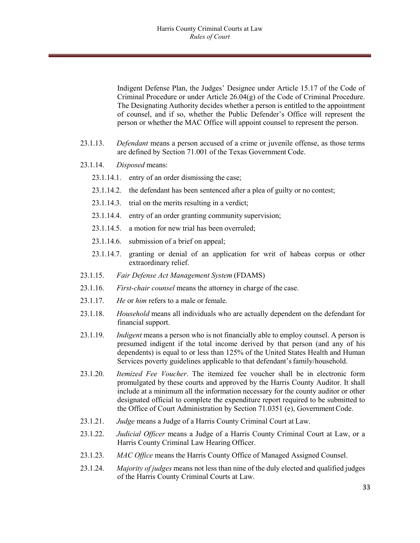Indigent Defense Plan, the Judges' Designee under Article 15.17 of the Code of Criminal Procedure or under Article  $26.04(g)$  of the Code of Criminal Procedure. The Designating Authority decides whether a person is entitled to the appointment of counsel, and if so, whether the Public Defender's Office will represent the person or whether the MAC Office will appoint counsel to represent the person.

- 23.1.13. *Defendant* means a person accused of a crime or juvenile offense, as those terms are defined by Section 71.001 of the Texas Government Code.
- 23.1.14. *Disposed* means:
	- 23.1.14.1. entry of an order dismissing the case;
	- 23.1.14.2. the defendant has been sentenced after a plea of guilty or no contest;
	- 23.1.14.3. trial on the merits resulting in a verdict;
	- 23.1.14.4. entry of an order granting community supervision;
	- 23.1.14.5. a motion for new trial has been overruled;
	- 23.1.14.6. submission of a brief on appeal;
	- 23.1.14.7. granting or denial of an application for writ of habeas corpus or other extraordinary relief.
- 23.1.15. *Fair Defense Act Management System* (FDAMS)
- 23.1.16. *First-chair counsel* means the attorney in charge of the case.
- 23.1.17. *He* or *him* refers to a male or female.
- 23.1.18. *Household* means all individuals who are actually dependent on the defendant for financial support.
- 23.1.19. *Indigent* means a person who is not financially able to employ counsel. A person is presumed indigent if the total income derived by that person (and any of his dependents) is equal to or less than 125% of the United States Health and Human Services poverty guidelines applicable to that defendant's family/household.
- 23.1.20. *Itemized Fee Voucher*. The itemized fee voucher shall be in electronic form promulgated by these courts and approved by the Harris County Auditor. It shall include at a minimum all the information necessary for the county auditor or other designated official to complete the expenditure report required to be submitted to the Office of Court Administration by Section 71.0351 (e), Government Code.
- 23.1.21. *Judge* means a Judge of a Harris County Criminal Court at Law.
- 23.1.22. *Judicial Officer* means a Judge of a Harris County Criminal Court at Law, or a Harris County Criminal Law Hearing Officer.
- 23.1.23. *MAC Office* means the Harris County Office of Managed Assigned Counsel.
- 23.1.24. *Majority of judges* means not less than nine of the duly elected and qualified judges of the Harris County Criminal Courts at Law.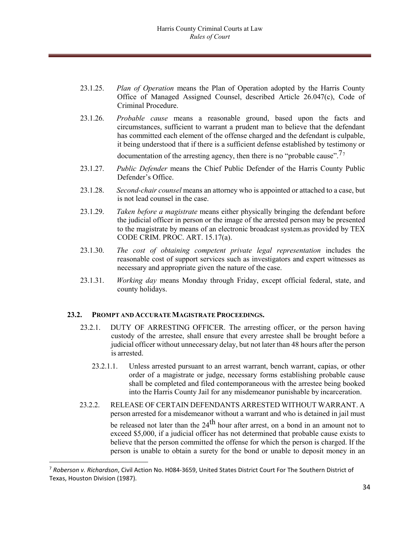- 23.1.25. *Plan of Operation* means the Plan of Operation adopted by the Harris County Office of Managed Assigned Counsel, described Article 26.047(c), Code of Criminal Procedure.
- 23.1.26. *Probable cause* means a reasonable ground, based upon the facts and circumstances, sufficient to warrant a prudent man to believe that the defendant has committed each element of the offense charged and the defendant is culpable, it being understood that if there is a sufficient defense established by testimony or

documentation of the arresting agency, then there is no "probable cause".<sup>[7](#page-33-0)7</sup>

- 23.1.27. *Public Defender* means the Chief Public Defender of the Harris County Public Defender's Office.
- 23.1.28. *Second-chair counsel* means an attorney who is appointed or attached to a case, but is not lead counsel in the case.
- 23.1.29. *Taken before a magistrate* means either physically bringing the defendant before the judicial officer in person or the image of the arrested person may be presented to the magistrate by means of an electronic broadcast system.as provided by TEX CODE CRIM. PROC. ART. 15.17(a).
- 23.1.30. *The cost of obtaining competent private legal representation* includes the reasonable cost of support services such as investigators and expert witnesses as necessary and appropriate given the nature of the case.
- 23.1.31. *Working day* means Monday through Friday, except official federal, state, and county holidays.

#### **23.2. PROMPT AND ACCURATEMAGISTRATE PROCEEDINGS.**

- 23.2.1. DUTY OF ARRESTING OFFICER. The arresting officer, or the person having custody of the arrestee, shall ensure that every arrestee shall be brought before a judicial officer without unnecessary delay, but not later than 48 hours after the person is arrested.
	- 23.2.1.1. Unless arrested pursuant to an arrest warrant, bench warrant, capias, or other order of a magistrate or judge, necessary forms establishing probable cause shall be completed and filed contemporaneous with the arrestee being booked into the Harris County Jail for any misdemeanor punishable by incarceration.
- 23.2.2. RELEASE OF CERTAIN DEFENDANTS ARRESTED WITHOUT WARRANT. A person arrested for a misdemeanor without a warrant and who is detained in jail must be released not later than the 24<sup>th</sup> hour after arrest, on a bond in an amount not to exceed \$5,000, if a judicial officer has not determined that probable cause exists to believe that the person committed the offense for which the person is charged. If the person is unable to obtain a surety for the bond or unable to deposit money in an

<span id="page-33-0"></span> <sup>7</sup> *Roberson v. Richardson*, Civil Action No. H084‐3659, United States District Court For The Southern District of Texas, Houston Division (1987).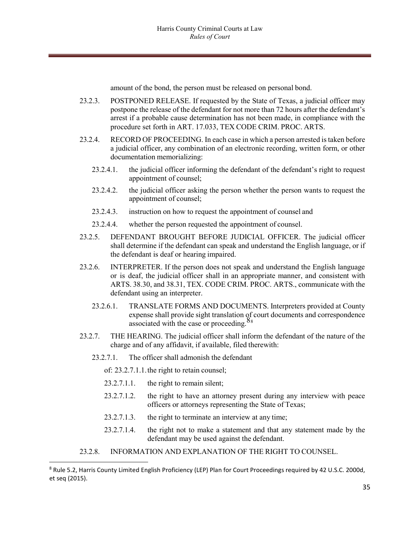amount of the bond, the person must be released on personal bond.

- 23.2.3. POSTPONED RELEASE. If requested by the State of Texas, a judicial officer may postpone the release of the defendant for not more than 72 hours after the defendant's arrest if a probable cause determination has not been made, in compliance with the procedure set forth in ART. 17.033, TEX CODE CRIM. PROC. ARTS.
- 23.2.4. RECORD OF PROCEEDING. In each case in which a person arrested is taken before a judicial officer, any combination of an electronic recording, written form, or other documentation memorializing:
	- 23.2.4.1. the judicial officer informing the defendant of the defendant's right to request appointment of counsel;
	- 23.2.4.2. the judicial officer asking the person whether the person wants to request the appointment of counsel;
	- 23.2.4.3. instruction on how to request the appointment of counsel and
	- 23.2.4.4. whether the person requested the appointment of counsel.
- 23.2.5. DEFENDANT BROUGHT BEFORE JUDICIAL OFFICER. The judicial officer shall determine if the defendant can speak and understand the English language, or if the defendant is deaf or hearing impaired.
- 23.2.6. INTERPRETER. If the person does not speak and understand the English language or is deaf, the judicial officer shall in an appropriate manner, and consistent with ARTS. 38.30, and 38.31, TEX. CODE CRIM. PROC. ARTS., communicate with the defendant using an interpreter.
	- 23.2.6.1. TRANSLATE FORMS AND DOCUMENTS. Interpreters provided at County expense shall provide sight translation of court documents and correspondence associated with the case or proceeding. $88$  $88$
- 23.2.7. THE HEARING. The judicial officer shall inform the defendant of the nature of the charge and of any affidavit, if available, filed therewith:
	- 23.2.7.1. The officer shall admonish the defendant

of: 23.2.7.1.1.the right to retain counsel;

- 23.2.7.1.1. the right to remain silent;
- 23.2.7.1.2. the right to have an attorney present during any interview with peace officers or attorneys representing the State of Texas;
- 23.2.7.1.3. the right to terminate an interview at any time;
- 23.2.7.1.4. the right not to make a statement and that any statement made by the defendant may be used against the defendant.
- 23.2.8. INFORMATION AND EXPLANATION OF THE RIGHT TO COUNSEL.

<span id="page-34-0"></span> <sup>8</sup> Rule 5.2, Harris County Limited English Proficiency (LEP) Plan for Court Proceedings required by 42 U.S.C. 2000d, et seq (2015).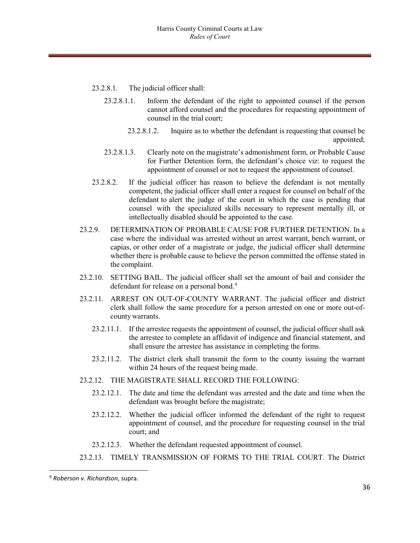- 23.2.8.1. The judicial officer shall:
	- 23.2.8.1.1. Inform the defendant of the right to appointed counsel if the person cannot afford counsel and the procedures for requesting appointment of counsel in the trial court;
		- 23.2.8.1.2. Inquire as to whether the defendant is requesting that counsel be appointed;
	- 23.2.8.1.3. Clearly note on the magistrate's admonishment form, or Probable Cause for Further Detention form, the defendant's choice viz: to request the appointment of counsel or not to request the appointment of counsel.
- 23.2.8.2. If the judicial officer has reason to believe the defendant is not mentally competent, the judicial officer shall enter a request for counsel on behalf of the defendant to alert the judge of the court in which the case is pending that counsel with the specialized skills necessary to represent mentally ill, or intellectually disabled should be appointed to the case.
- 23.2.9. DETERMINATION OF PROBABLE CAUSE FOR FURTHER DETENTION. In a case where the individual was arrested without an arrest warrant, bench warrant, or capias, or other order of a magistrate or judge, the judicial officer shall determine whether there is probable cause to believe the person committed the offense stated in the complaint.
- 23.2.10. SETTING BAIL. The judicial officer shall set the amount of bail and consider the defendant for release on a personal bond.<sup>9</sup>
- 23.2.11. ARREST ON OUT-OF-COUNTY WARRANT. The judicial officer and district clerk shall follow the same procedure for a person arrested on one or more out-ofcounty warrants.
	- 23.2.11.1. If the arrestee requests the appointment of counsel, the judicial officer shall ask the arrestee to complete an affidavit of indigence and financial statement, and shall ensure the arrestee has assistance in completing the forms.
	- 23.2.11.2. The district clerk shall transmit the form to the county issuing the warrant within 24 hours of the request being made.
- 23.2.12. THE MAGISTRATE SHALL RECORD THE FOLLOWING:
	- 23.2.12.1. The date and time the defendant was arrested and the date and time when the defendant was brought before the magistrate;
	- 23.2.12.2. Whether the judicial officer informed the defendant of the right to request appointment of counsel, and the procedure for requesting counsel in the trial court; and
	- 23.2.12.3. Whether the defendant requested appointment of counsel.
- 23.2.13. TIMELY TRANSMISSION OF FORMS TO THE TRIAL COURT. The District

<span id="page-35-0"></span> <sup>9</sup> *Roberson v. Richardson*, supra.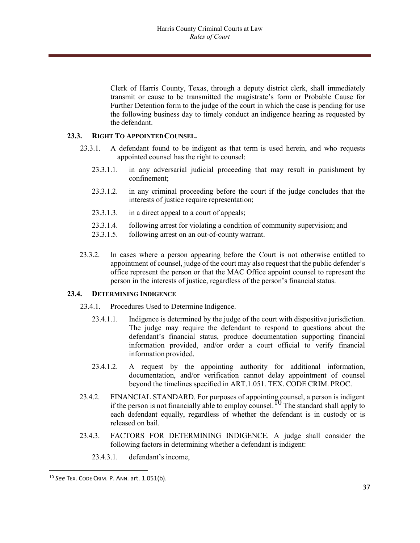Clerk of Harris County, Texas, through a deputy district clerk, shall immediately transmit or cause to be transmitted the magistrate's form or Probable Cause for Further Detention form to the judge of the court in which the case is pending for use the following business day to timely conduct an indigence hearing as requested by the defendant.

#### **23.3. RIGHT TO APPOINTEDCOUNSEL.**

- 23.3.1. A defendant found to be indigent as that term is used herein, and who requests appointed counsel has the right to counsel:
	- 23.3.1.1. in any adversarial judicial proceeding that may result in punishment by confinement;
	- 23.3.1.2. in any criminal proceeding before the court if the judge concludes that the interests of justice require representation;
	- 23.3.1.3. in a direct appeal to a court of appeals;
	- 23.3.1.4. following arrest for violating a condition of community supervision; and
	- 23.3.1.5. following arrest on an out-of-county warrant.
- 23.3.2. In cases where a person appearing before the Court is not otherwise entitled to appointment of counsel, judge of the court may also request that the public defender's office represent the person or that the MAC Office appoint counsel to represent the person in the interests of justice, regardless of the person's financial status.

#### **23.4. DETERMINING INDIGENCE**

- 23.4.1. Procedures Used to Determine Indigence.
	- 23.4.1.1. Indigence is determined by the judge of the court with dispositive jurisdiction. The judge may require the defendant to respond to questions about the defendant's financial status, produce documentation supporting financial information provided, and/or order a court official to verify financial information provided.
	- 23.4.1.2. A request by the appointing authority for additional information, documentation, and/or verification cannot delay appointment of counsel beyond the timelines specified in ART.1.051. TEX. CODE CRIM. PROC.
- 23.4.2. FINANCIAL STANDARD. For purposes of appointing counsel, a person is indigent if the person is not financially able to employ counsel.<sup>[10](#page-36-0)</sup> The standard shall apply to each defendant equally, regardless of whether the defendant is in custody or is released on bail.
- 23.4.3. FACTORS FOR DETERMINING INDIGENCE. A judge shall consider the following factors in determining whether a defendant is indigent:
	- 23.4.3.1. defendant's income,

<span id="page-36-0"></span> <sup>10</sup> *See* TEX. CODE CRIM. P. ANN. art. 1.051(b).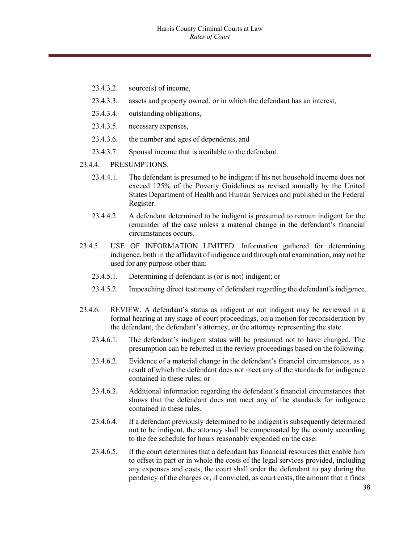- 23.4.3.2. source(s) of income,
- 23.4.3.3. assets and property owned, or in which the defendant has an interest,
- 23.4.3.4. outstanding obligations,
- 23.4.3.5. necessary expenses,
- 23.4.3.6. the number and ages of dependents, and
- 23.4.3.7. Spousal income that is available to the defendant.
- 23.4.4. PRESUMPTIONS.
	- 23.4.4.1. The defendant is presumed to be indigent if his net household income does not exceed 125% of the Poverty Guidelines as revised annually by the United States Department of Health and Human Services and published in the Federal Register.
	- 23.4.4.2. A defendant determined to be indigent is presumed to remain indigent for the remainder of the case unless a material change in the defendant's financial circumstances occurs.
- 23.4.5. USE OF INFORMATION LIMITED. Information gathered for determining indigence, both in the affidavit of indigence and through oral examination, may not be used for any purpose other than:
	- 23.4.5.1. Determining if defendant is (or is not) indigent; or
	- 23.4.5.2. Impeaching direct testimony of defendant regarding the defendant'sindigence.
- 23.4.6. REVIEW. A defendant's status as indigent or not indigent may be reviewed in a formal hearing at any stage of court proceedings, on a motion for reconsideration by the defendant, the defendant's attorney, or the attorney representing the state.
	- 23.4.6.1. The defendant's indigent status will be presumed not to have changed. The presumption can be rebutted in the review proceedings based on the following:
	- 23.4.6.2. Evidence of a material change in the defendant's financial circumstances, as a result of which the defendant does not meet any of the standards for indigence contained in these rules; or
	- 23.4.6.3. Additional information regarding the defendant's financial circumstances that shows that the defendant does not meet any of the standards for indigence contained in these rules.
	- 23.4.6.4. If a defendant previously determined to be indigent is subsequently determined not to be indigent, the attorney shall be compensated by the county according to the fee schedule for hours reasonably expended on the case.
	- 23.4.6.5. If the court determines that a defendant has financial resources that enable him to offset in part or in whole the costs of the legal services provided, including any expenses and costs, the court shall order the defendant to pay during the pendency of the charges or, if convicted, as court costs, the amount that it finds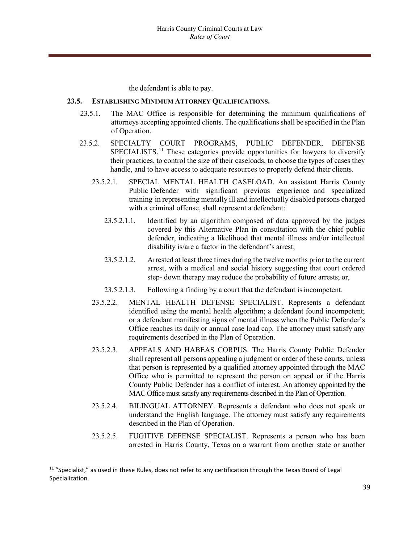the defendant is able to pay.

#### **23.5. ESTABLISHING MINIMUM ATTORNEY QUALIFICATIONS.**

- 23.5.1. The MAC Office is responsible for determining the minimum qualifications of attorneys accepting appointed clients. The qualifications shall be specified in the Plan of Operation.
- 23.5.2. SPECIALTY COURT PROGRAMS, PUBLIC DEFENDER, DEFENSE SPECIALISTS.<sup>[11](#page-38-0)</sup> These categories provide opportunities for lawyers to diversify their practices, to control the size of their caseloads, to choose the types of cases they handle, and to have access to adequate resources to properly defend their clients.
	- 23.5.2.1. SPECIAL MENTAL HEALTH CASELOAD. An assistant Harris County Public Defender with significant previous experience and specialized training in representing mentally ill and intellectually disabled persons charged with a criminal offense, shall represent a defendant:
		- 23.5.2.1.1. Identified by an algorithm composed of data approved by the judges covered by this Alternative Plan in consultation with the chief public defender, indicating a likelihood that mental illness and/or intellectual disability is/are a factor in the defendant's arrest;
		- 23.5.2.1.2. Arrested at least three times during the twelve months prior to the current arrest, with a medical and social history suggesting that court ordered step- down therapy may reduce the probability of future arrests; or,
		- 23.5.2.1.3. Following a finding by a court that the defendant isincompetent.
	- 23.5.2.2. MENTAL HEALTH DEFENSE SPECIALIST. Represents a defendant identified using the mental health algorithm; a defendant found incompetent; or a defendant manifesting signs of mental illness when the Public Defender's Office reaches its daily or annual case load cap. The attorney must satisfy any requirements described in the Plan of Operation.
	- 23.5.2.3. APPEALS AND HABEAS CORPUS. The Harris County Public Defender shall represent all persons appealing a judgment or order of these courts, unless that person is represented by a qualified attorney appointed through the MAC Office who is permitted to represent the person on appeal or if the Harris County Public Defender has a conflict of interest. An attorney appointed by the MAC Office must satisfy any requirements described in the Plan of Operation.
	- 23.5.2.4. BILINGUAL ATTORNEY. Represents a defendant who does not speak or understand the English language. The attorney must satisfy any requirements described in the Plan of Operation.
	- 23.5.2.5. FUGITIVE DEFENSE SPECIALIST. Represents a person who has been arrested in Harris County, Texas on a warrant from another state or another

<span id="page-38-0"></span> $11$  "Specialist," as used in these Rules, does not refer to any certification through the Texas Board of Legal Specialization.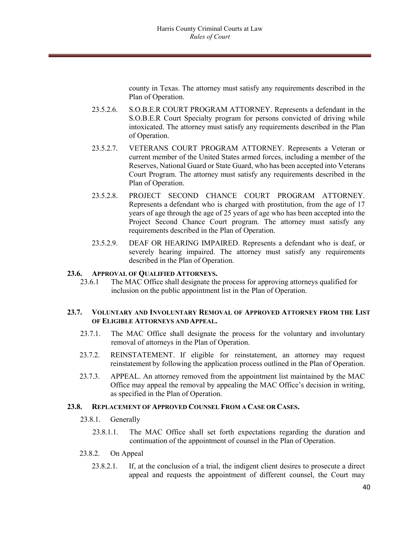county in Texas. The attorney must satisfy any requirements described in the Plan of Operation.

- 23.5.2.6. S.O.B.E.R COURT PROGRAM ATTORNEY. Represents a defendant in the S.O.B.E.R Court Specialty program for persons convicted of driving while intoxicated. The attorney must satisfy any requirements described in the Plan of Operation.
- 23.5.2.7. VETERANS COURT PROGRAM ATTORNEY. Represents a Veteran or current member of the United States armed forces, including a member of the Reserves, National Guard or State Guard, who has been accepted into Veterans Court Program. The attorney must satisfy any requirements described in the Plan of Operation.
- 23.5.2.8. PROJECT SECOND CHANCE COURT PROGRAM ATTORNEY. Represents a defendant who is charged with prostitution, from the age of 17 years of age through the age of 25 years of age who has been accepted into the Project Second Chance Court program. The attorney must satisfy any requirements described in the Plan of Operation.
- 23.5.2.9. DEAF OR HEARING IMPAIRED. Represents a defendant who is deaf, or severely hearing impaired. The attorney must satisfy any requirements described in the Plan of Operation.

#### **23.6. APPROVAL OF QUALIFIED ATTORNEYS.**

23.6.1 The MAC Office shall designate the process for approving attorneys qualified for inclusion on the public appointment list in the Plan of Operation.

#### **23.7. VOLUNTARY AND INVOLUNTARY REMOVAL OF APPROVED ATTORNEY FROM THE LIST OF ELIGIBLE ATTORNEYS AND APPEAL.**

- 23.7.1. The MAC Office shall designate the process for the voluntary and involuntary removal of attorneys in the Plan of Operation.
- 23.7.2. REINSTATEMENT. If eligible for reinstatement, an attorney may request reinstatement by following the application process outlined in the Plan of Operation.
- 23.7.3. APPEAL. An attorney removed from the appointment list maintained by the MAC Office may appeal the removal by appealing the MAC Office's decision in writing, as specified in the Plan of Operation.

#### **23.8. REPLACEMENT OF APPROVED COUNSEL FROM A CASE OR CASES.**

- 23.8.1. Generally
	- 23.8.1.1. The MAC Office shall set forth expectations regarding the duration and continuation of the appointment of counsel in the Plan of Operation.
- 23.8.2. On Appeal
	- 23.8.2.1. If, at the conclusion of a trial, the indigent client desires to prosecute a direct appeal and requests the appointment of different counsel, the Court may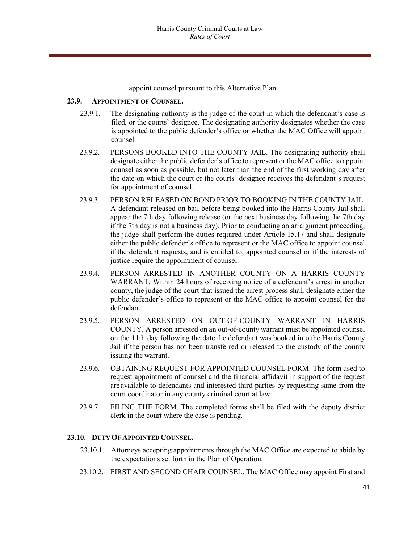appoint counsel pursuant to this Alternative Plan

#### **23.9. APPOINTMENT OF COUNSEL.**

- 23.9.1. The designating authority is the judge of the court in which the defendant's case is filed, or the courts' designee. The designating authority designates whether the case is appointed to the public defender's office or whether the MAC Office will appoint counsel.
- 23.9.2. PERSONS BOOKED INTO THE COUNTY JAIL. The designating authority shall designate either the public defender's office to represent or the MAC office to appoint counsel as soon as possible, but not later than the end of the first working day after the date on which the court or the courts' designee receives the defendant's request for appointment of counsel.
- 23.9.3. PERSON RELEASED ON BOND PRIOR TO BOOKING IN THE COUNTY JAIL. A defendant released on bail before being booked into the Harris County Jail shall appear the 7th day following release (or the next business day following the 7th day if the 7th day is not a business day). Prior to conducting an arraignment proceeding, the judge shall perform the duties required under Article 15.17 and shall designate either the public defender's office to represent or the MAC office to appoint counsel if the defendant requests, and is entitled to, appointed counsel or if the interests of justice require the appointment of counsel.
- 23.9.4. PERSON ARRESTED IN ANOTHER COUNTY ON A HARRIS COUNTY WARRANT. Within 24 hours of receiving notice of a defendant's arrest in another county, the judge of the court that issued the arrest process shall designate either the public defender's office to represent or the MAC office to appoint counsel for the defendant.
- 23.9.5. PERSON ARRESTED ON OUT-OF-COUNTY WARRANT IN HARRIS COUNTY. A person arrested on an out-of-county warrant must be appointed counsel on the 11th day following the date the defendant was booked into the Harris County Jail if the person has not been transferred or released to the custody of the county issuing the warrant.
- 23.9.6. OBTAINING REQUEST FOR APPOINTED COUNSEL FORM. The form used to request appointment of counsel and the financial affidavit in support of the request are available to defendants and interested third parties by requesting same from the court coordinator in any county criminal court at law.
- 23.9.7. FILING THE FORM. The completed forms shall be filed with the deputy district clerk in the court where the case is pending.

# **23.10. DUTY OFAPPOINTED COUNSEL.**

- 23.10.1. Attorneys accepting appointments through the MAC Office are expected to abide by the expectations set forth in the Plan of Operation.
- 23.10.2. FIRST AND SECOND CHAIR COUNSEL. The MAC Office may appoint First and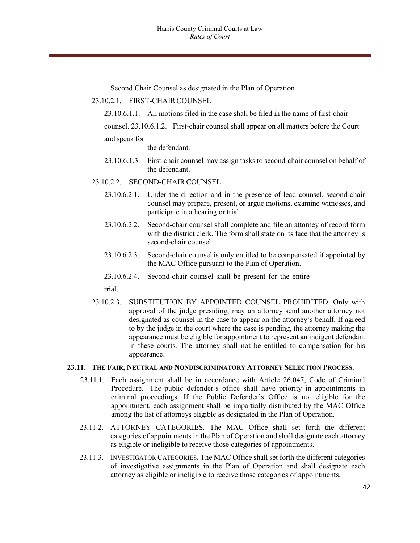Second Chair Counsel as designated in the Plan of Operation

- 23.10.2.1. FIRST-CHAIRCOUNSEL
	- 23.10.6.1.1. All motions filed in the case shall be filed in the name of first-chair
	- counsel. 23.10.6.1.2. First-chair counsel shall appear on all matters before the Court

#### and speak for

the defendant.

- 23.10.6.1.3. First-chair counsel may assign tasks to second-chair counsel on behalf of the defendant.
- 23.10.2.2. SECOND-CHAIR COUNSEL
	- 23.10.6.2.1. Under the direction and in the presence of lead counsel, second-chair counsel may prepare, present, or argue motions, examine witnesses, and participate in a hearing or trial.
	- 23.10.6.2.2. Second-chair counsel shall complete and file an attorney of record form with the district clerk. The form shall state on its face that the attorney is second-chair counsel.
	- 23.10.6.2.3. Second-chair counsel is only entitled to be compensated if appointed by the MAC Office pursuant to the Plan of Operation.
	- 23.10.6.2.4. Second-chair counsel shall be present for the entire

trial.

23.10.2.3. SUBSTITUTION BY APPOINTED COUNSEL PROHIBITED. Only with approval of the judge presiding, may an attorney send another attorney not designated as counsel in the case to appear on the attorney's behalf. If agreed to by the judge in the court where the case is pending, the attorney making the appearance must be eligible for appointment to represent an indigent defendant in these courts. The attorney shall not be entitled to compensation for his appearance.

#### **23.11. THE FAIR, NEUTRAL AND NONDISCRIMINATORY ATTORNEY SELECTION PROCESS.**

- 23.11.1. Each assignment shall be in accordance with Article 26.047, Code of Criminal Procedure. The public defender's office shall have priority in appointments in criminal proceedings. If the Public Defender's Office is not eligible for the appointment, each assignment shall be impartially distributed by the MAC Office among the list of attorneys eligible as designated in the Plan of Operation.
- 23.11.2. ATTORNEY CATEGORIES. The MAC Office shall set forth the different categories of appointments in the Plan of Operation and shall designate each attorney as eligible or ineligible to receive those categories of appointments.
- 23.11.3. INVESTIGATOR CATEGORIES. The MAC Office shall set forth the different categories of investigative assignments in the Plan of Operation and shall designate each attorney as eligible or ineligible to receive those categories of appointments.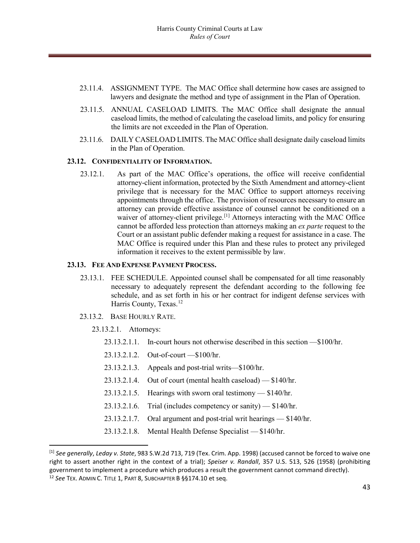- 23.11.4. ASSIGNMENT TYPE. The MAC Office shall determine how cases are assigned to lawyers and designate the method and type of assignment in the Plan of Operation.
- 23.11.5. ANNUAL CASELOAD LIMITS. The MAC Office shall designate the annual caseload limits, the method of calculating the caseload limits, and policy for ensuring the limits are not exceeded in the Plan of Operation.
- 23.11.6. DAILY CASELOAD LIMITS. The MAC Office shall designate daily caseload limits in the Plan of Operation.

#### **23.12. CONFIDENTIALITY OF INFORMATION.**

23.12.1. As part of the MAC Office's operations, the office will receive confidential attorney-client information, protected by the Sixth Amendment and attorney-client privilege that is necessary for the MAC Office to support attorneys receiving appointments through the office. The provision of resources necessary to ensure an attorney can provide effective assistance of counsel cannot be conditioned on a waiver of attorney-client privilege.<sup>[\[1\]](#page-42-0)</sup> Attorneys interacting with the MAC Office cannot be afforded less protection than attorneys making an *ex parte* request to the Court or an assistant public defender making a request for assistance in a case. The MAC Office is required under this Plan and these rules to protect any privileged information it receives to the extent permissible by law.

#### **23.13. FEE AND EXPENSE PAYMENT PROCESS.**

- 23.13.1. FEE SCHEDULE. Appointed counsel shall be compensated for all time reasonably necessary to adequately represent the defendant according to the following fee schedule, and as set forth in his or her contract for indigent defense services with Harris County, Texas.<sup>[12](#page-42-1)</sup>
- 23.13.2. BASE HOURLY RATE.
	- 23.13.2.1. Attorneys:
		- 23.13.2.1.1. In-court hours not otherwise described in this section —\$100/hr.
		- 23.13.2.1.2. Out-of-court —\$100/hr.
		- 23.13.2.1.3. Appeals and post-trial writs—\$100/hr.
		- 23.13.2.1.4. Out of court (mental health caseload) \$140/hr.
		- 23.13.2.1.5. Hearings with sworn oral testimony \$140/hr.
		- 23.13.2.1.6. Trial (includes competency or sanity) \$140/hr.
		- 23.13.2.1.7. Oral argument and post-trial writ hearings \$140/hr.
		- 23.13.2.1.8. Mental Health Defense Specialist \$140/hr.

<span id="page-42-1"></span><span id="page-42-0"></span> <sup>[1]</sup> *See generally*, *Leday v. State*, 983 S.W.2d 713, 719 (Tex. Crim. App. 1998) (accused cannot be forced to waive one right to assert another right in the context of a trial); *Speiser v. Randall*, 357 U.S. 513, 526 (1958) (prohibiting government to implement a procedure which produces a result the government cannot command directly). 12 *See* TEX. ADMIN C. TITLE 1, PART 8, SUBCHAPTER B §§174.10 et seq.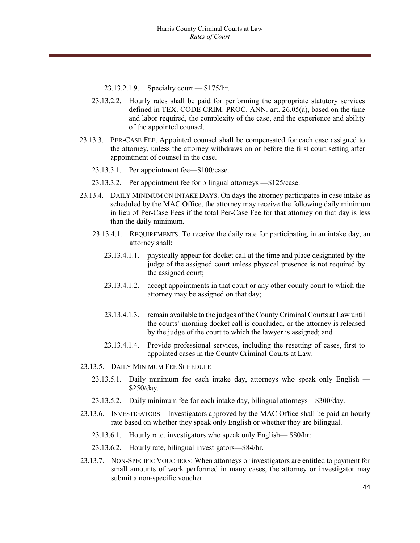23.13.2.1.9. Specialty court — \$175/hr.

- 23.13.2.2. Hourly rates shall be paid for performing the appropriate statutory services defined in TEX. CODE CRIM. PROC. ANN. art. 26.05(a), based on the time and labor required, the complexity of the case, and the experience and ability of the appointed counsel.
- 23.13.3. PER-CASE FEE. Appointed counsel shall be compensated for each case assigned to the attorney, unless the attorney withdraws on or before the first court setting after appointment of counsel in the case.
	- 23.13.3.1. Per appointment fee—\$100/case.
	- 23.13.3.2. Per appointment fee for bilingual attorneys —\$125/case.
- 23.13.4. DAILY MINIMUM ON INTAKE DAYS. On days the attorney participates in case intake as scheduled by the MAC Office, the attorney may receive the following daily minimum in lieu of Per-Case Fees if the total Per-Case Fee for that attorney on that day is less than the daily minimum.
	- 23.13.4.1. REQUIREMENTS. To receive the daily rate for participating in an intake day, an attorney shall:
		- 23.13.4.1.1. physically appear for docket call at the time and place designated by the judge of the assigned court unless physical presence is not required by the assigned court;
		- 23.13.4.1.2. accept appointments in that court or any other county court to which the attorney may be assigned on that day;
		- 23.13.4.1.3. remain available to the judges of the County Criminal Courts at Law until the courts' morning docket call is concluded, or the attorney is released by the judge of the court to which the lawyer is assigned; and
		- 23.13.4.1.4. Provide professional services, including the resetting of cases, first to appointed cases in the County Criminal Courts at Law.
- 23.13.5. DAILY MINIMUM FEE SCHEDULE
	- 23.13.5.1. Daily minimum fee each intake day, attorneys who speak only English \$250/day.
	- 23.13.5.2. Daily minimum fee for each intake day, bilingual attorneys—\$300/day.
- 23.13.6. INVESTIGATORS Investigators approved by the MAC Office shall be paid an hourly rate based on whether they speak only English or whether they are bilingual.
	- 23.13.6.1. Hourly rate, investigators who speak only English— \$80/hr:
	- 23.13.6.2. Hourly rate, bilingual investigators—\$84/hr.
- 23.13.7. NON-SPECIFIC VOUCHERS: When attorneys or investigators are entitled to payment for small amounts of work performed in many cases, the attorney or investigator may submit a non-specific voucher.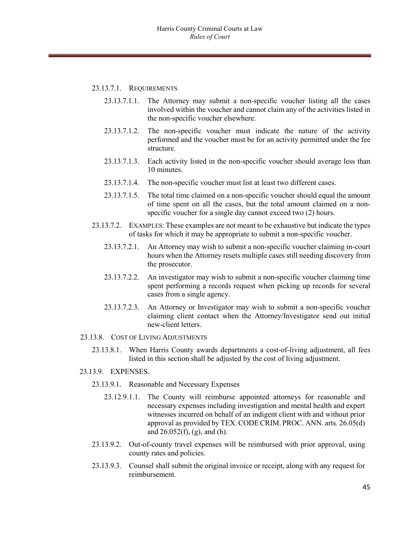#### 23.13.7.1. REQUIREMENTS

- 23.13.7.1.1. The Attorney may submit a non-specific voucher listing all the cases involved within the voucher and cannot claim any of the activities listed in the non-specific voucher elsewhere.
- 23.13.7.1.2. The non-specific voucher must indicate the nature of the activity performed and the voucher must be for an activity permitted under the fee structure.
- 23.13.7.1.3. Each activity listed in the non-specific voucher should average less than 10 minutes.
- 23.13.7.1.4. The non-specific voucher must list at least two different cases.
- 23.13.7.1.5. The total time claimed on a non-specific voucher should equal the amount of time spent on all the cases, but the total amount claimed on a nonspecific voucher for a single day cannot exceed two (2) hours.
- 23.13.7.2. EXAMPLES: These examples are not meant to be exhaustive but indicate the types of tasks for which it may be appropriate to submit a non-specific voucher.
	- 23.13.7.2.1. An Attorney may wish to submit a non-specific voucher claiming in-court hours when the Attorney resets multiple cases still needing discovery from the prosecutor.
	- 23.13.7.2.2. An investigator may wish to submit a non-specific voucher claiming time spent performing a records request when picking up records for several cases from a single agency.
	- 23.13.7.2.3. An Attorney or Investigator may wish to submit a non-specific voucher claiming client contact when the Attorney/Investigator send out initial new-client letters.

#### 23.13.8. COST OF LIVING ADJUSTMENTS

23.13.8.1. When Harris County awards departments a cost-of-living adjustment, all fees listed in this section shall be adjusted by the cost of living adjustment.

#### 23.13.9. EXPENSES.

- 23.13.9.1. Reasonable and Necessary Expenses
	- 23.12.9.1.1. The County will reimburse appointed attorneys for reasonable and necessary expenses including investigation and mental health and expert witnesses incurred on behalf of an indigent client with and without prior approval as provided by TEX.CODECRIM. PROC. ANN. arts. 26.05(d) and  $26.052(f)$ , (g), and (h).
- 23.13.9.2. Out-of-county travel expenses will be reimbursed with prior approval, using county rates and policies.
- 23.13.9.3. Counsel shall submit the original invoice or receipt, along with any request for reimbursement.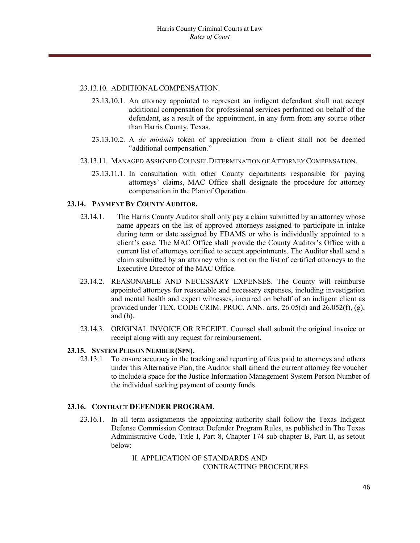#### 23.13.10. ADDITIONALCOMPENSATION.

- 23.13.10.1. An attorney appointed to represent an indigent defendant shall not accept additional compensation for professional services performed on behalf of the defendant, as a result of the appointment, in any form from any source other than Harris County, Texas.
- 23.13.10.2. A *de minimis* token of appreciation from a client shall not be deemed "additional compensation."
- 23.13.11. MANAGED ASSIGNED COUNSELDETERMINATION OFATTORNEY COMPENSATION.
	- 23.13.11.1. In consultation with other County departments responsible for paying attorneys' claims, MAC Office shall designate the procedure for attorney compensation in the Plan of Operation.

#### **23.14. PAYMENT BY COUNTY AUDITOR.**

- 23.14.1. The Harris County Auditor shall only pay a claim submitted by an attorney whose name appears on the list of approved attorneys assigned to participate in intake during term or date assigned by FDAMS or who is individually appointed to a client's case. The MAC Office shall provide the County Auditor's Office with a current list of attorneys certified to accept appointments. The Auditor shall send a claim submitted by an attorney who is not on the list of certified attorneys to the Executive Director of the MAC Office.
- 23.14.2. REASONABLE AND NECESSARY EXPENSES. The County will reimburse appointed attorneys for reasonable and necessary expenses, including investigation and mental health and expert witnesses, incurred on behalf of an indigent client as provided under TEX. CODE CRIM. PROC. ANN. arts. 26.05(d) and 26.052(f), (g), and (h).
- 23.14.3. ORIGINAL INVOICE OR RECEIPT. Counsel shall submit the original invoice or receipt along with any request for reimbursement.

#### **23.15. SYSTEMPERSON NUMBER (SPN).**

23.13.1 To ensure accuracy in the tracking and reporting of fees paid to attorneys and others under this Alternative Plan, the Auditor shall amend the current attorney fee voucher to include a space for the Justice Information Management System Person Number of the individual seeking payment of county funds.

#### **23.16. CONTRACT DEFENDER PROGRAM.**

23.16.1. In all term assignments the appointing authority shall follow the Texas Indigent Defense Commission Contract Defender Program Rules, as published in The Texas Administrative Code, Title I, Part 8, Chapter 174 sub chapter B, Part II, as setout below:

> II. APPLICATION OF STANDARDS AND CONTRACTING PROCEDURES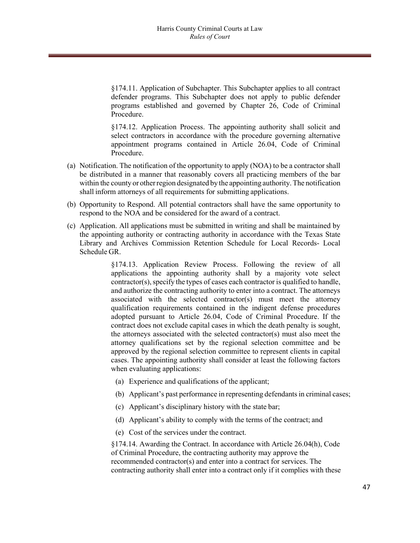§174.11. Application of Subchapter. This Subchapter applies to all contract defender programs. This Subchapter does not apply to public defender programs established and governed by Chapter 26, Code of Criminal Procedure.

§174.12. Application Process. The appointing authority shall solicit and select contractors in accordance with the procedure governing alternative appointment programs contained in Article 26.04, Code of Criminal Procedure.

- (a) Notification. The notification of the opportunity to apply (NOA) to be a contractor shall be distributed in a manner that reasonably covers all practicing members of the bar within the county or other region designated by the appointing authority. The notification shall inform attorneys of all requirements for submitting applications.
- (b) Opportunity to Respond. All potential contractors shall have the same opportunity to respond to the NOA and be considered for the award of a contract.
- (c) Application. All applications must be submitted in writing and shall be maintained by the appointing authority or contracting authority in accordance with the Texas State Library and Archives Commission Retention Schedule for Local Records- Local Schedule GR.

§174.13. Application Review Process. Following the review of all applications the appointing authority shall by a majority vote select  $contractor(s)$ , specify the types of cases each contractor is qualified to handle, and authorize the contracting authority to enter into a contract. The attorneys associated with the selected contractor(s) must meet the attorney qualification requirements contained in the indigent defense procedures adopted pursuant to Article 26.04, Code of Criminal Procedure. If the contract does not exclude capital cases in which the death penalty is sought, the attorneys associated with the selected contractor(s) must also meet the attorney qualifications set by the regional selection committee and be approved by the regional selection committee to represent clients in capital cases. The appointing authority shall consider at least the following factors when evaluating applications:

- (a) Experience and qualifications of the applicant;
- (b) Applicant's past performance in representing defendants in criminal cases;
- (c) Applicant's disciplinary history with the state bar;
- (d) Applicant's ability to comply with the terms of the contract; and
- (e) Cost of the services under the contract.

§174.14. Awarding the Contract. In accordance with Article 26.04(h), Code of Criminal Procedure, the contracting authority may approve the recommended contractor(s) and enter into a contract for services. The contracting authority shall enter into a contract only if it complies with these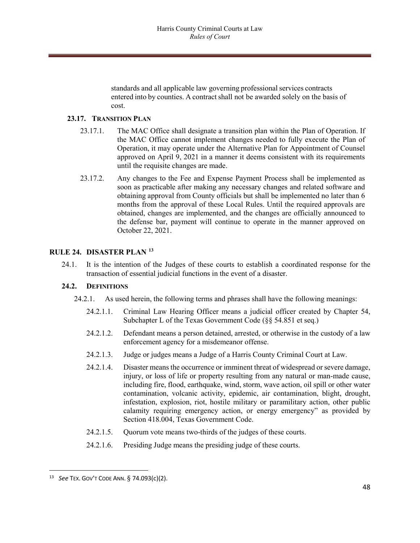standards and all applicable law governing professional services contracts entered into by counties. A contract shall not be awarded solely on the basis of cost.

#### **23.17. TRANSITION PLAN**

- 23.17.1. The MAC Office shall designate a transition plan within the Plan of Operation. If the MAC Office cannot implement changes needed to fully execute the Plan of Operation, it may operate under the Alternative Plan for Appointment of Counsel approved on April 9, 2021 in a manner it deems consistent with its requirements until the requisite changes are made.
- 23.17.2. Any changes to the Fee and Expense Payment Process shall be implemented as soon as practicable after making any necessary changes and related software and obtaining approval from County officials but shall be implemented no later than 6 months from the approval of these Local Rules. Until the required approvals are obtained, changes are implemented, and the changes are officially announced to the defense bar, payment will continue to operate in the manner approved on October 22, 2021.

#### **RULE 24. DISASTER PLAN [13](#page-47-0)**

24.1. It is the intention of the Judges of these courts to establish a coordinated response for the transaction of essential judicial functions in the event of a disaster.

#### **24.2. DEFINITIONS**

- 24.2.1. As used herein, the following terms and phrases shall have the following meanings:
	- 24.2.1.1. Criminal Law Hearing Officer means a judicial officer created by Chapter 54, Subchapter L of the Texas Government Code (§§ 54.851 et seq.)
	- 24.2.1.2. Defendant means a person detained, arrested, or otherwise in the custody of a law enforcement agency for a misdemeanor offense.
	- 24.2.1.3. Judge or judges means a Judge of a Harris County Criminal Court at Law.
	- 24.2.1.4. Disaster means the occurrence or imminent threat of widespread or severe damage, injury, or loss of life or property resulting from any natural or man-made cause, including fire, flood, earthquake, wind, storm, wave action, oil spill or other water contamination, volcanic activity, epidemic, air contamination, blight, drought, infestation, explosion, riot, hostile military or paramilitary action, other public calamity requiring emergency action, or energy emergency" as provided by Section 418.004, Texas Government Code.
	- 24.2.1.5. Quorum vote means two-thirds of the judges of these courts.
	- 24.2.1.6. Presiding Judge means the presiding judge of these courts.

<span id="page-47-0"></span> <sup>13</sup> *See* TEX. GOV'T CODE ANN. § 74.093(c)(2).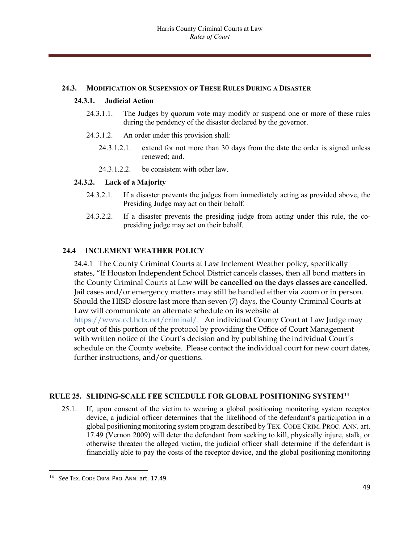#### **24.3. MODIFICATION OR SUSPENSION OF THESE RULES DURING A DISASTER**

#### **24.3.1. Judicial Action**

- 24.3.1.1. The Judges by quorum vote may modify or suspend one or more of these rules during the pendency of the disaster declared by the governor.
- 24.3.1.2. An order under this provision shall:
	- 24.3.1.2.1. extend for not more than 30 days from the date the order is signed unless renewed; and.
	- 24.3.1.2.2. be consistent with other law.

#### **24.3.2. Lack of a Majority**

- 24.3.2.1. If a disaster prevents the judges from immediately acting as provided above, the Presiding Judge may act on their behalf.
- 24.3.2.2. If a disaster prevents the presiding judge from acting under this rule, the copresiding judge may act on their behalf.

# **24.4 INCLEMENT WEATHER POLICY**

24.4.1The County Criminal Courts at Law Inclement Weather policy, specifically states, "If Houston Independent School District cancels classes, then all bond matters in the County Criminal Courts at Law **will be cancelled on the days classes are cancelled**. Jail cases and/or emergency matters may still be handled either via zoom or in person. Should the HISD closure last more than seven (7) days, the County Criminal Courts at Law will communicate an alternate schedule on its website at

https://www.ccl.hctx.net/criminal/. An individual County Court at Law Judge may opt out of this portion of the protocol by providing the Office of Court Management with written notice of the Court's decision and by publishing the individual Court's schedule on the County website. Please contact the individual court for new court dates, further instructions, and/or questions.

#### **RULE 25. SLIDING-SCALE FEE SCHEDULE FOR GLOBAL POSITIONING SYSTEM[14](#page-48-0)**

25.1. If, upon consent of the victim to wearing a global positioning monitoring system receptor device, a judicial officer determines that the likelihood of the defendant's participation in a global positioning monitoring system program described by TEX. CODE CRIM. PROC. ANN. art. 17.49 (Vernon 2009) will deter the defendant from seeking to kill, physically injure, stalk, or otherwise threaten the alleged victim, the judicial officer shall determine if the defendant is financially able to pay the costs of the receptor device, and the global positioning monitoring

<span id="page-48-0"></span> <sup>14</sup> *See* TEX. CODE CRIM. PRO. ANN. art. 17.49.